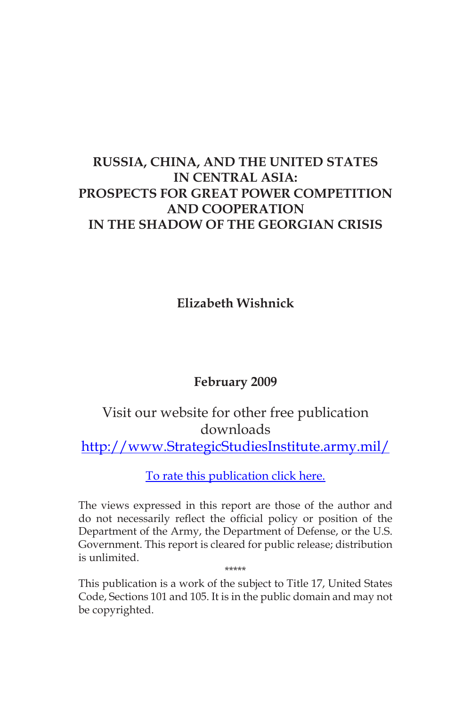# **RUSSIA, CHINA, AND THE UNITED STATES IN CENTRAL ASIA: PROSPECTS FOR GREAT POWER COMPETITION AND COOPERATION IN THE SHADOW OF THE GEORGIAN CRISIS**

**Elizabeth Wishnick**

# **February 2009**

# Visit our website for other free publication downloads

[http://www.StrategicStudiesInstitute.army.mil/](http://www.strategicstudiesinstitute.army.mil/pubs/display.cfm?pubID=905)

[To rate this publication click here.](http://www.strategicstudiesinstitute.army.mil/pubs/display.cfm?pubID=907)

The views expressed in this report are those of the author and do not necessarily reflect the official policy or position of the Department of the Army, the Department of Defense, or the U.S. Government. This report is cleared for public release; distribution is unlimited. \*\*\*\*\*

This publication is a work of the subject to Title 17, United States Code, Sections 101 and 105. It is in the public domain and may not be copyrighted.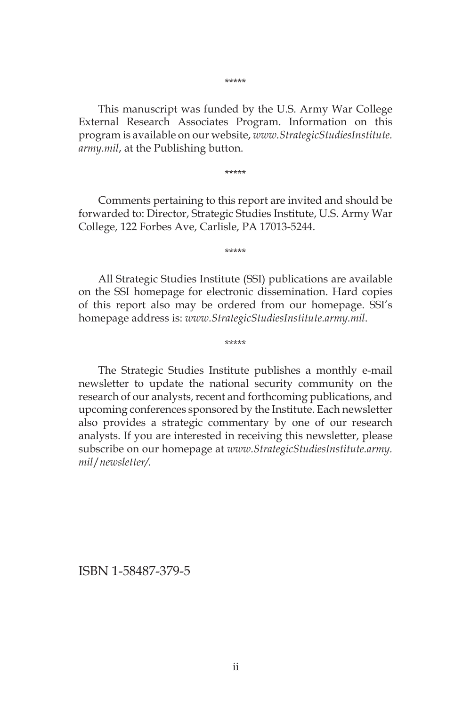This manuscript was funded by the U.S. Army War College External Research Associates Program. Information on this program is available on our website, *www.StrategicStudiesInstitute. army.mil*, at the Publishing button.

\*\*\*\*\*

Comments pertaining to this report are invited and should be forwarded to: Director, Strategic Studies Institute, U.S. Army War College, 122 Forbes Ave, Carlisle, PA 17013-5244.

\*\*\*\*\*

All Strategic Studies Institute (SSI) publications are available on the SSI homepage for electronic dissemination. Hard copies of this report also may be ordered from our homepage. SSI's homepage address is: *www.StrategicStudiesInstitute.army.mil*.

\*\*\*\*\*

The Strategic Studies Institute publishes a monthly e-mail newsletter to update the national security community on the research of our analysts, recent and forthcoming publications, and upcoming conferences sponsored by the Institute. Each newsletter also provides a strategic commentary by one of our research analysts. If you are interested in receiving this newsletter, please subscribe on our homepage at *www.StrategicStudiesInstitute.army. mil*/*newsletter/.*

ISBN 1-58487-379-5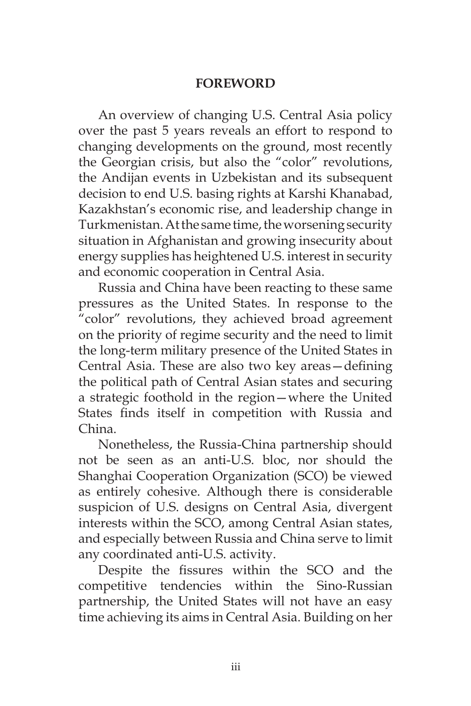### **FOREWORD**

An overview of changing U.S. Central Asia policy over the past 5 years reveals an effort to respond to changing developments on the ground, most recently the Georgian crisis, but also the "color" revolutions, the Andijan events in Uzbekistan and its subsequent decision to end U.S. basing rights at Karshi Khanabad, Kazakhstan's economic rise, and leadership change in Turkmenistan. At the same time, the worsening security situation in Afghanistan and growing insecurity about energy supplies has heightened U.S. interest in security and economic cooperation in Central Asia.

Russia and China have been reacting to these same pressures as the United States. In response to the "color" revolutions, they achieved broad agreement on the priority of regime security and the need to limit the long-term military presence of the United States in Central Asia. These are also two key areas—defining the political path of Central Asian states and securing a strategic foothold in the region—where the United States finds itself in competition with Russia and China.

Nonetheless, the Russia-China partnership should not be seen as an anti-U.S. bloc, nor should the Shanghai Cooperation Organization (SCO) be viewed as entirely cohesive. Although there is considerable suspicion of U.S. designs on Central Asia, divergent interests within the SCO, among Central Asian states, and especially between Russia and China serve to limit any coordinated anti-U.S. activity.

Despite the fissures within the SCO and the competitive tendencies within the Sino-Russian partnership, the United States will not have an easy time achieving its aims in Central Asia. Building on her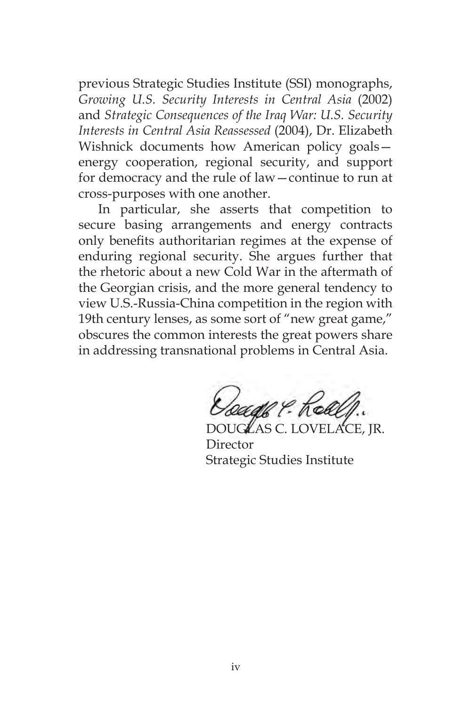previous Strategic Studies Institute (SSI) monographs, *Growing U.S. Security Interests in Central Asia* (2002) and *Strategic Consequences of the Iraq War: U.S. Security Interests in Central Asia Reassessed* (2004), Dr. Elizabeth Wishnick documents how American policy goals energy cooperation, regional security, and support for democracy and the rule of law—continue to run at cross-purposes with one another.

In particular, she asserts that competition to secure basing arrangements and energy contracts only benefits authoritarian regimes at the expense of enduring regional security. She argues further that the rhetoric about a new Cold War in the aftermath of the Georgian crisis, and the more general tendency to view U.S.-Russia-China competition in the region with 19th century lenses, as some sort of "new great game," obscures the common interests the great powers share in addressing transnational problems in Central Asia.

beadh ? Keh

DOUGLAS C. LOVELACE, JR. Director Strategic Studies Institute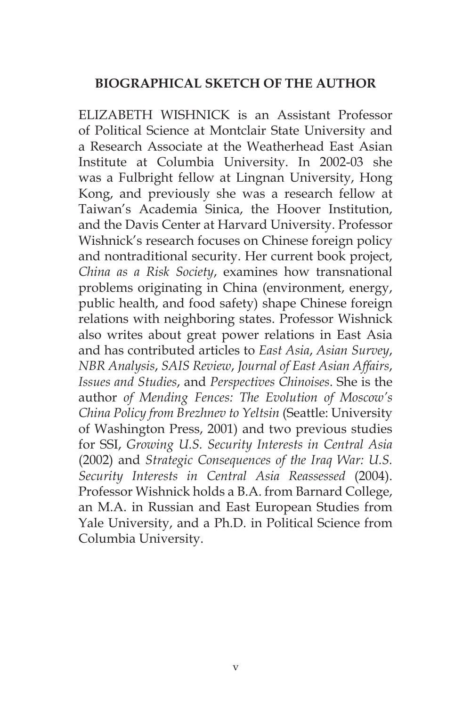### **BIOGRAPHICAL SKETCH OF THE AUTHOR**

ELIZABETH WISHNICK is an Assistant Professor of Political Science at Montclair State University and a Research Associate at the Weatherhead East Asian Institute at Columbia University. In 2002-03 she was a Fulbright fellow at Lingnan University, Hong Kong, and previously she was a research fellow at Taiwan's Academia Sinica, the Hoover Institution, and the Davis Center at Harvard University. Professor Wishnick's research focuses on Chinese foreign policy and nontraditional security. Her current book project, *China as a Risk Society*, examines how transnational problems originating in China (environment, energy, public health, and food safety) shape Chinese foreign relations with neighboring states. Professor Wishnick also writes about great power relations in East Asia and has contributed articles to *East Asia*, *Asian Survey*, *NBR Analysis*, *SAIS Review*, *Journal of East Asian Affairs*, *Issues and Studies*, and *Perspectives Chinoises*. She is the author *of Mending Fences: The Evolution of Moscow's China Policy from Brezhnev to Yeltsin* (Seattle: University of Washington Press, 2001) and two previous studies for SSI, *Growing U.S. Security Interests in Central Asia*  (2002) and *Strategic Consequences of the Iraq War: U.S. Security Interests in Central Asia Reassessed* (2004). Professor Wishnick holds a B.A. from Barnard College, an M.A. in Russian and East European Studies from Yale University, and a Ph.D. in Political Science from Columbia University.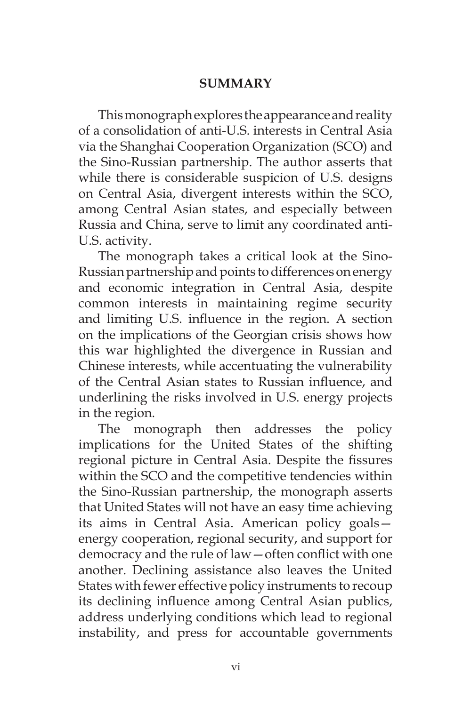### **SUMMARY**

This monograph explores the appearance and reality of a consolidation of anti-U.S. interests in Central Asia via the Shanghai Cooperation Organization (SCO) and the Sino-Russian partnership. The author asserts that while there is considerable suspicion of U.S. designs on Central Asia, divergent interests within the SCO, among Central Asian states, and especially between Russia and China, serve to limit any coordinated anti-U.S. activity.

The monograph takes a critical look at the Sino-Russian partnership and points to differences on energy and economic integration in Central Asia, despite common interests in maintaining regime security and limiting U.S. influence in the region. A section on the implications of the Georgian crisis shows how this war highlighted the divergence in Russian and Chinese interests, while accentuating the vulnerability of the Central Asian states to Russian influence, and underlining the risks involved in U.S. energy projects in the region.

The monograph then addresses the policy implications for the United States of the shifting regional picture in Central Asia. Despite the fissures within the SCO and the competitive tendencies within the Sino-Russian partnership, the monograph asserts that United States will not have an easy time achieving its aims in Central Asia. American policy goals energy cooperation, regional security, and support for democracy and the rule of law—often conflict with one another. Declining assistance also leaves the United States with fewer effective policy instruments to recoup its declining influence among Central Asian publics, address underlying conditions which lead to regional instability, and press for accountable governments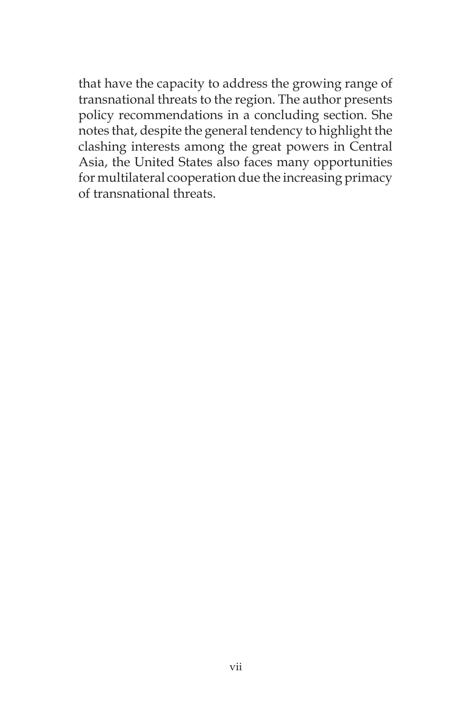that have the capacity to address the growing range of transnational threats to the region. The author presents policy recommendations in a concluding section. She notes that, despite the general tendency to highlight the clashing interests among the great powers in Central Asia, the United States also faces many opportunities for multilateral cooperation due the increasing primacy of transnational threats.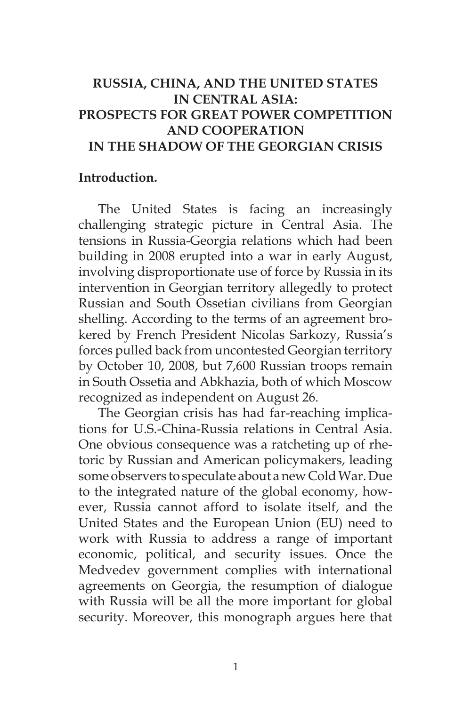# **RUSSIA, CHINA, AND THE UNITED STATES IN CENTRAL ASIA: PROSPECTS FOR GREAT POWER COMPETITION AND COOPERATION IN THE SHADOW OF THE GEORGIAN CRISIS**

#### **Introduction.**

The United States is facing an increasingly challenging strategic picture in Central Asia. The tensions in Russia-Georgia relations which had been building in 2008 erupted into a war in early August, involving disproportionate use of force by Russia in its intervention in Georgian territory allegedly to protect Russian and South Ossetian civilians from Georgian shelling. According to the terms of an agreement brokered by French President Nicolas Sarkozy, Russia's forces pulled back from uncontested Georgian territory by October 10, 2008, but 7,600 Russian troops remain in South Ossetia and Abkhazia, both of which Moscow recognized as independent on August 26.

The Georgian crisis has had far-reaching implications for U.S.-China-Russia relations in Central Asia. One obvious consequence was a ratcheting up of rhetoric by Russian and American policymakers, leading some observers to speculate about a new Cold War. Due to the integrated nature of the global economy, however, Russia cannot afford to isolate itself, and the United States and the European Union (EU) need to work with Russia to address a range of important economic, political, and security issues. Once the Medvedev government complies with international agreements on Georgia, the resumption of dialogue with Russia will be all the more important for global security. Moreover, this monograph argues here that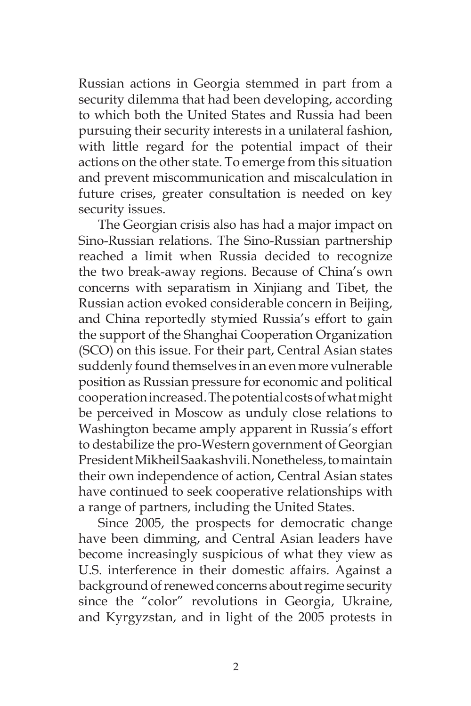Russian actions in Georgia stemmed in part from a security dilemma that had been developing, according to which both the United States and Russia had been pursuing their security interests in a unilateral fashion, with little regard for the potential impact of their actions on the other state. To emerge from this situation and prevent miscommunication and miscalculation in future crises, greater consultation is needed on key security issues.

The Georgian crisis also has had a major impact on Sino-Russian relations. The Sino-Russian partnership reached a limit when Russia decided to recognize the two break-away regions. Because of China's own concerns with separatism in Xinjiang and Tibet, the Russian action evoked considerable concern in Beijing, and China reportedly stymied Russia's effort to gain the support of the Shanghai Cooperation Organization (SCO) on this issue. For their part, Central Asian states suddenly found themselves in an even more vulnerable position as Russian pressure for economic and political cooperation increased. The potential costs of what might be perceived in Moscow as unduly close relations to Washington became amply apparent in Russia's effort to destabilize the pro-Western government of Georgian President Mikheil Saakashvili. Nonetheless, to maintain their own independence of action, Central Asian states have continued to seek cooperative relationships with a range of partners, including the United States.

Since 2005, the prospects for democratic change have been dimming, and Central Asian leaders have become increasingly suspicious of what they view as U.S. interference in their domestic affairs. Against a background of renewed concerns about regime security since the "color" revolutions in Georgia, Ukraine, and Kyrgyzstan, and in light of the 2005 protests in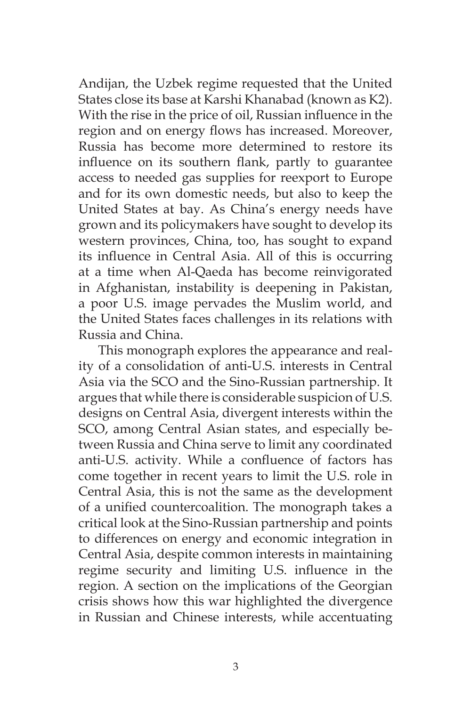Andijan, the Uzbek regime requested that the United States close its base at Karshi Khanabad (known as K2). With the rise in the price of oil, Russian influence in the region and on energy flows has increased. Moreover, Russia has become more determined to restore its influence on its southern flank, partly to guarantee access to needed gas supplies for reexport to Europe and for its own domestic needs, but also to keep the United States at bay. As China's energy needs have grown and its policymakers have sought to develop its western provinces, China, too, has sought to expand its influence in Central Asia. All of this is occurring at a time when Al-Qaeda has become reinvigorated in Afghanistan, instability is deepening in Pakistan, a poor U.S. image pervades the Muslim world, and the United States faces challenges in its relations with Russia and China.

This monograph explores the appearance and reality of a consolidation of anti-U.S. interests in Central Asia via the SCO and the Sino-Russian partnership. It argues that while there is considerable suspicion of U.S. designs on Central Asia, divergent interests within the SCO, among Central Asian states, and especially between Russia and China serve to limit any coordinated anti-U.S. activity. While a confluence of factors has come together in recent years to limit the U.S. role in Central Asia, this is not the same as the development of a unified countercoalition. The monograph takes a critical look at the Sino-Russian partnership and points to differences on energy and economic integration in Central Asia, despite common interests in maintaining regime security and limiting U.S. influence in the region. A section on the implications of the Georgian crisis shows how this war highlighted the divergence in Russian and Chinese interests, while accentuating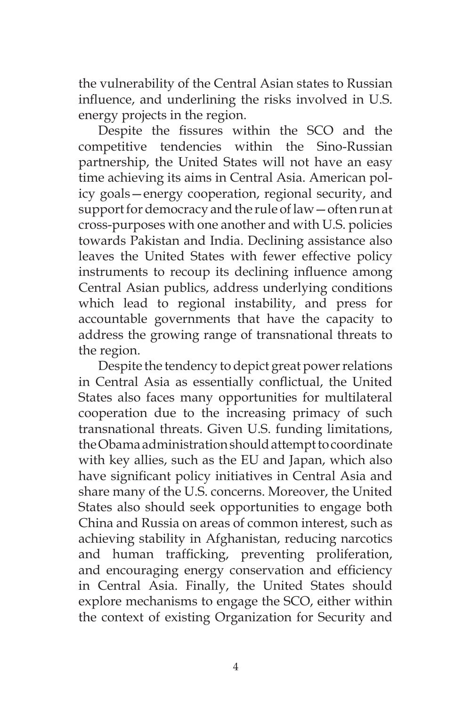the vulnerability of the Central Asian states to Russian influence, and underlining the risks involved in U.S. energy projects in the region.

Despite the fissures within the SCO and the competitive tendencies within the Sino-Russian partnership, the United States will not have an easy time achieving its aims in Central Asia. American policy goals—energy cooperation, regional security, and support for democracy and the rule of law—often run at cross-purposes with one another and with U.S. policies towards Pakistan and India. Declining assistance also leaves the United States with fewer effective policy instruments to recoup its declining influence among Central Asian publics, address underlying conditions which lead to regional instability, and press for accountable governments that have the capacity to address the growing range of transnational threats to the region.

Despite the tendency to depict great power relations in Central Asia as essentially conflictual, the United States also faces many opportunities for multilateral cooperation due to the increasing primacy of such transnational threats. Given U.S. funding limitations, the Obama administration should attempt to coordinate with key allies, such as the EU and Japan, which also have significant policy initiatives in Central Asia and share many of the U.S. concerns. Moreover, the United States also should seek opportunities to engage both China and Russia on areas of common interest, such as achieving stability in Afghanistan, reducing narcotics and human trafficking, preventing proliferation, and encouraging energy conservation and efficiency in Central Asia. Finally, the United States should explore mechanisms to engage the SCO, either within the context of existing Organization for Security and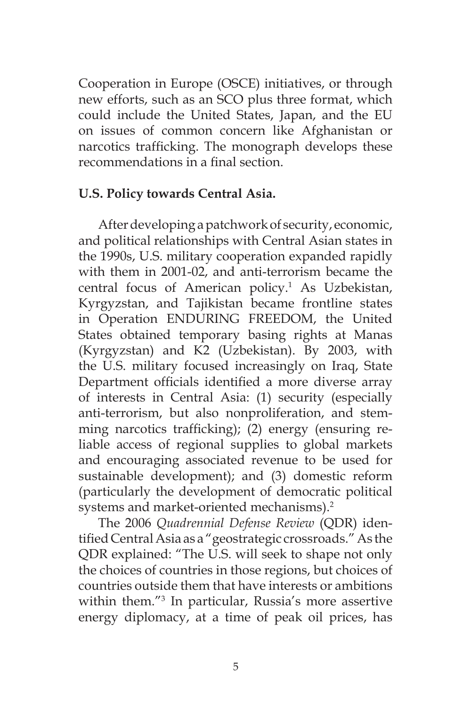Cooperation in Europe (OSCE) initiatives, or through new efforts, such as an SCO plus three format, which could include the United States, Japan, and the EU on issues of common concern like Afghanistan or narcotics trafficking. The monograph develops these recommendations in a final section.

### **U.S. Policy towards Central Asia.**

After developing a patchwork of security, economic, and political relationships with Central Asian states in the 1990s, U.S. military cooperation expanded rapidly with them in 2001-02, and anti-terrorism became the central focus of American policy.1 As Uzbekistan, Kyrgyzstan, and Tajikistan became frontline states in Operation ENDURING FREEDOM, the United States obtained temporary basing rights at Manas (Kyrgyzstan) and K2 (Uzbekistan). By 2003, with the U.S. military focused increasingly on Iraq, State Department officials identified a more diverse array of interests in Central Asia: (1) security (especially anti-terrorism, but also nonproliferation, and stemming narcotics trafficking); (2) energy (ensuring reliable access of regional supplies to global markets and encouraging associated revenue to be used for sustainable development); and (3) domestic reform (particularly the development of democratic political systems and market-oriented mechanisms).<sup>2</sup>

The 2006 *Quadrennial Defense Review* (QDR) identified Central Asia as a "geostrategic crossroads." As the QDR explained: "The U.S. will seek to shape not only the choices of countries in those regions, but choices of countries outside them that have interests or ambitions within them."3 In particular, Russia's more assertive energy diplomacy, at a time of peak oil prices, has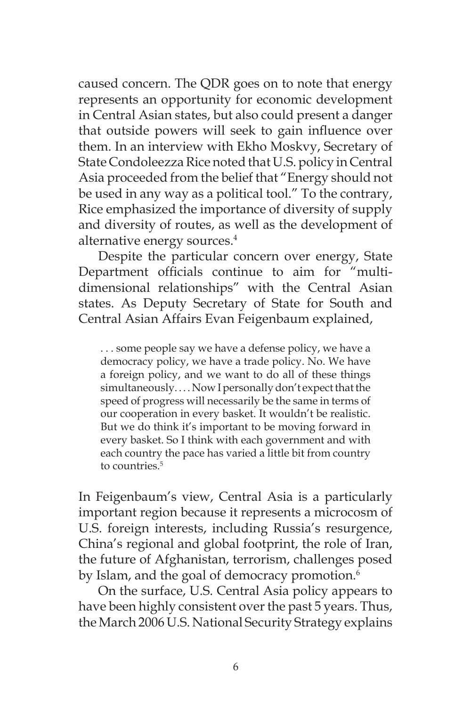caused concern. The QDR goes on to note that energy represents an opportunity for economic development in Central Asian states, but also could present a danger that outside powers will seek to gain influence over them. In an interview with Ekho Moskvy, Secretary of State Condoleezza Rice noted that U.S. policy in Central Asia proceeded from the belief that "Energy should not be used in any way as a political tool." To the contrary, Rice emphasized the importance of diversity of supply and diversity of routes, as well as the development of alternative energy sources.4

Despite the particular concern over energy, State Department officials continue to aim for "multidimensional relationships" with the Central Asian states. As Deputy Secretary of State for South and Central Asian Affairs Evan Feigenbaum explained,

. . . some people say we have a defense policy, we have a democracy policy, we have a trade policy. No. We have a foreign policy, and we want to do all of these things simultaneously. . . . Now I personally don't expect that the speed of progress will necessarily be the same in terms of our cooperation in every basket. It wouldn't be realistic. But we do think it's important to be moving forward in every basket. So I think with each government and with each country the pace has varied a little bit from country to countries.<sup>5</sup>

In Feigenbaum's view, Central Asia is a particularly important region because it represents a microcosm of U.S. foreign interests, including Russia's resurgence, China's regional and global footprint, the role of Iran, the future of Afghanistan, terrorism, challenges posed by Islam, and the goal of democracy promotion.<sup>6</sup>

On the surface, U.S. Central Asia policy appears to have been highly consistent over the past 5 years. Thus, the March 2006 U.S. National Security Strategy explains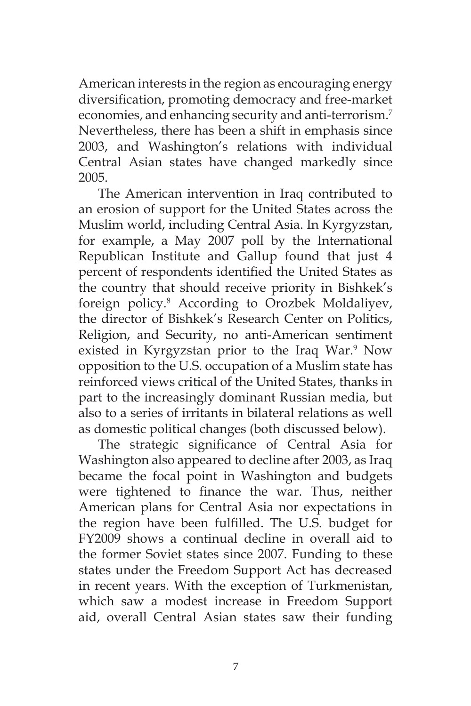American interests in the region as encouraging energy diversification, promoting democracy and free-market economies, and enhancing security and anti-terrorism.<sup>7</sup> Nevertheless, there has been a shift in emphasis since 2003, and Washington's relations with individual Central Asian states have changed markedly since 2005.

The American intervention in Iraq contributed to an erosion of support for the United States across the Muslim world, including Central Asia. In Kyrgyzstan, for example, a May 2007 poll by the International Republican Institute and Gallup found that just 4 percent of respondents identified the United States as the country that should receive priority in Bishkek's foreign policy.8 According to Orozbek Moldaliyev, the director of Bishkek's Research Center on Politics, Religion, and Security, no anti-American sentiment existed in Kyrgyzstan prior to the Iraq War.<sup>9</sup> Now opposition to the U.S. occupation of a Muslim state has reinforced views critical of the United States, thanks in part to the increasingly dominant Russian media, but also to a series of irritants in bilateral relations as well as domestic political changes (both discussed below).

The strategic significance of Central Asia for Washington also appeared to decline after 2003, as Iraq became the focal point in Washington and budgets were tightened to finance the war. Thus, neither American plans for Central Asia nor expectations in the region have been fulfilled. The U.S. budget for FY2009 shows a continual decline in overall aid to the former Soviet states since 2007. Funding to these states under the Freedom Support Act has decreased in recent years. With the exception of Turkmenistan, which saw a modest increase in Freedom Support aid, overall Central Asian states saw their funding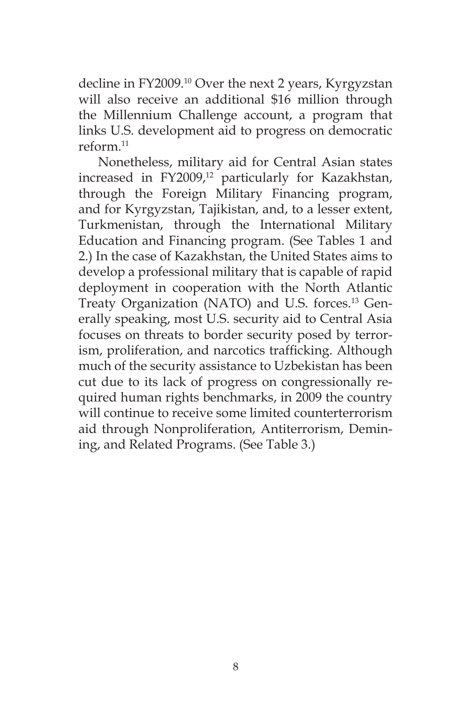decline in FY2009.10 Over the next 2 years, Kyrgyzstan will also receive an additional \$16 million through the Millennium Challenge account, a program that links U.S. development aid to progress on democratic reform $11$ 

Nonetheless, military aid for Central Asian states increased in FY2009,<sup>12</sup> particularly for Kazakhstan, through the Foreign Military Financing program, and for Kyrgyzstan, Tajikistan, and, to a lesser extent, Turkmenistan, through the International Military Education and Financing program. (See Tables 1 and 2.) In the case of Kazakhstan, the United States aims to develop a professional military that is capable of rapid deployment in cooperation with the North Atlantic Treaty Organization (NATO) and U.S. forces.<sup>13</sup> Generally speaking, most U.S. security aid to Central Asia focuses on threats to border security posed by terrorism, proliferation, and narcotics trafficking. Although much of the security assistance to Uzbekistan has been cut due to its lack of progress on congressionally required human rights benchmarks, in 2009 the country will continue to receive some limited counterterrorism aid through Nonproliferation, Antiterrorism, Demining, and Related Programs. (See Table 3.)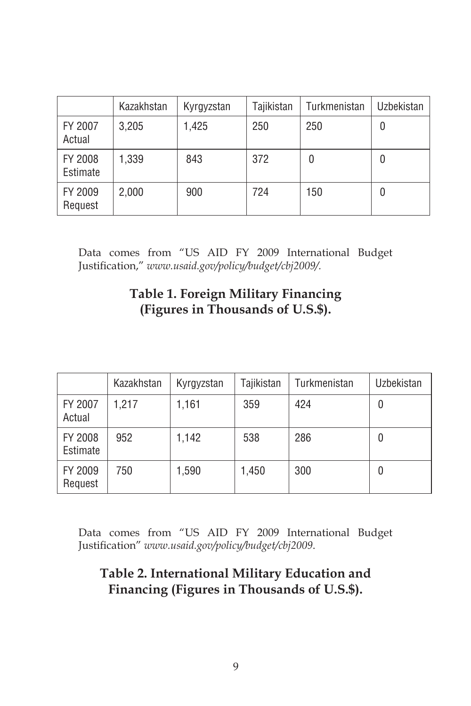|                     | Kazakhstan | Kyrgyzstan | Tajikistan | Turkmenistan | Uzbekistan |
|---------------------|------------|------------|------------|--------------|------------|
| FY 2007<br>Actual   | 3,205      | 1,425      | 250        | 250          | 0          |
| FY 2008<br>Estimate | 1,339      | 843        | 372        | 0            | U          |
| FY 2009<br>Request  | 2,000      | 900        | 724        | 150          | U          |

Data comes from "US AID FY 2009 International Budget Justification," *www.usaid.gov/policy/budget/cbj2009/.*

# **Table 1. Foreign Military Financing (Figures in Thousands of U.S.\$).**

|                     | Kazakhstan | Kyrgyzstan | Tajikistan | Turkmenistan | Uzbekistan |
|---------------------|------------|------------|------------|--------------|------------|
| FY 2007<br>Actual   | 1,217      | 1,161      | 359        | 424          | 0          |
| FY 2008<br>Estimate | 952        | 1,142      | 538        | 286          | 0          |
| FY 2009<br>Request  | 750        | 1,590      | 1,450      | 300          | 0          |

Data comes from "US AID FY 2009 International Budget Justification" *www.usaid.gov/policy/budget/cbj2009*.

# **Table 2. International Military Education and Financing (Figures in Thousands of U.S.\$).**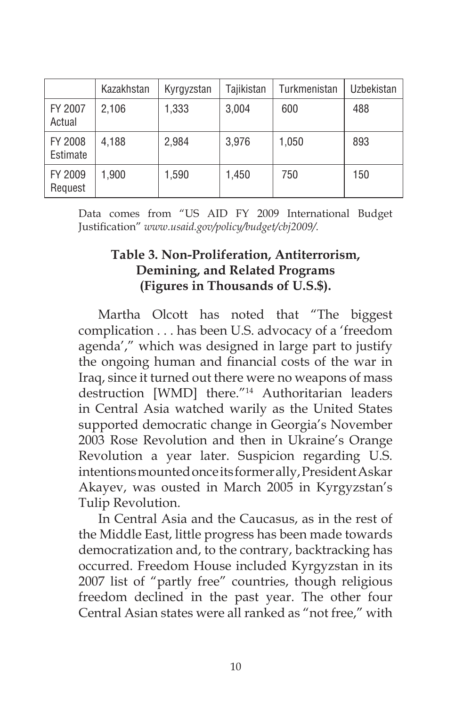|                     | Kazakhstan | Kyrgyzstan | Tajikistan | Turkmenistan | Uzbekistan |
|---------------------|------------|------------|------------|--------------|------------|
| FY 2007<br>Actual   | 2,106      | 1,333      | 3,004      | 600          | 488        |
| FY 2008<br>Estimate | 4,188      | 2,984      | 3,976      | 1,050        | 893        |
| FY 2009<br>Request  | 1,900      | 1,590      | 1,450      | 750          | 150        |

Data comes from "US AID FY 2009 International Budget Justification" *www.usaid.gov/policy/budget/cbj2009/.*

# **Table 3. Non-Proliferation, Antiterrorism, Demining, and Related Programs (Figures in Thousands of U.S.\$).**

Martha Olcott has noted that "The biggest complication . . . has been U.S. advocacy of a 'freedom agenda'," which was designed in large part to justify the ongoing human and financial costs of the war in Iraq, since it turned out there were no weapons of mass destruction [WMD] there."14 Authoritarian leaders in Central Asia watched warily as the United States supported democratic change in Georgia's November 2003 Rose Revolution and then in Ukraine's Orange Revolution a year later. Suspicion regarding U.S. intentions mounted once its former ally, President Askar Akayev, was ousted in March 2005 in Kyrgyzstan's Tulip Revolution.

In Central Asia and the Caucasus, as in the rest of the Middle East, little progress has been made towards democratization and, to the contrary, backtracking has occurred. Freedom House included Kyrgyzstan in its 2007 list of "partly free" countries, though religious freedom declined in the past year. The other four Central Asian states were all ranked as "not free," with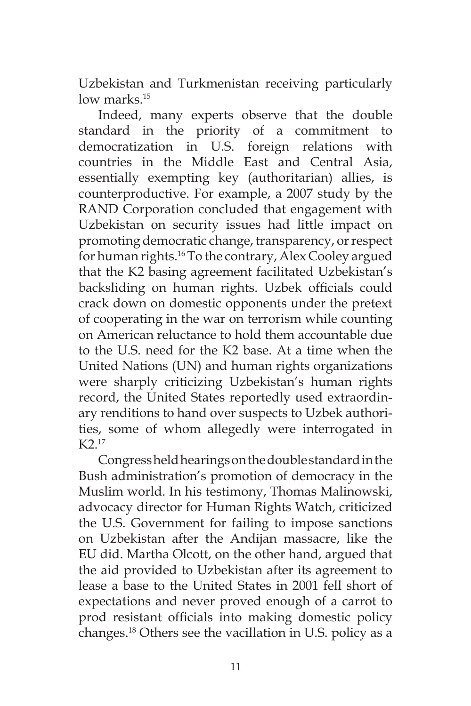Uzbekistan and Turkmenistan receiving particularly low marks.<sup>15</sup>

Indeed, many experts observe that the double standard in the priority of a commitment to democratization in U.S. foreign relations with countries in the Middle East and Central Asia, essentially exempting key (authoritarian) allies, is counterproductive. For example, a 2007 study by the RAND Corporation concluded that engagement with Uzbekistan on security issues had little impact on promoting democratic change, transparency, or respect for human rights.16 To the contrary, Alex Cooley argued that the K2 basing agreement facilitated Uzbekistan's backsliding on human rights. Uzbek officials could crack down on domestic opponents under the pretext of cooperating in the war on terrorism while counting on American reluctance to hold them accountable due to the U.S. need for the K2 base. At a time when the United Nations (UN) and human rights organizations were sharply criticizing Uzbekistan's human rights record, the United States reportedly used extraordinary renditions to hand over suspects to Uzbek authorities, some of whom allegedly were interrogated in K2 17

Congress held hearings on the double standard in the Bush administration's promotion of democracy in the Muslim world. In his testimony, Thomas Malinowski, advocacy director for Human Rights Watch, criticized the U.S. Government for failing to impose sanctions on Uzbekistan after the Andijan massacre, like the EU did. Martha Olcott, on the other hand, argued that the aid provided to Uzbekistan after its agreement to lease a base to the United States in 2001 fell short of expectations and never proved enough of a carrot to prod resistant officials into making domestic policy changes.18 Others see the vacillation in U.S. policy as a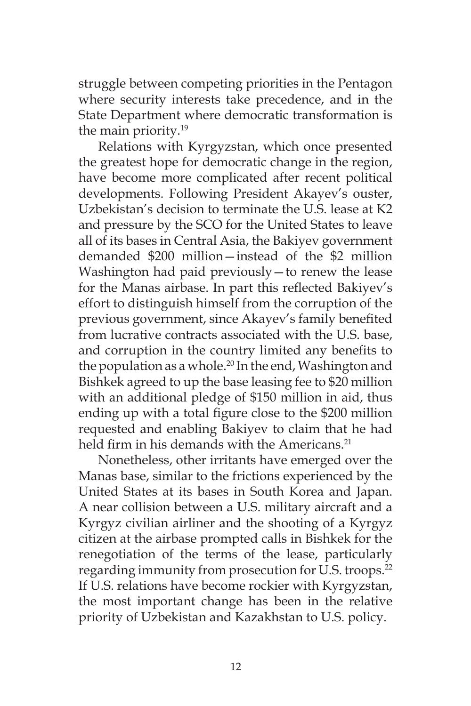struggle between competing priorities in the Pentagon where security interests take precedence, and in the State Department where democratic transformation is the main priority.19

Relations with Kyrgyzstan, which once presented the greatest hope for democratic change in the region, have become more complicated after recent political developments. Following President Akayev's ouster, Uzbekistan's decision to terminate the U.S. lease at K2 and pressure by the SCO for the United States to leave all of its bases in Central Asia, the Bakiyev government demanded \$200 million—instead of the \$2 million Washington had paid previously—to renew the lease for the Manas airbase. In part this reflected Bakiyev's effort to distinguish himself from the corruption of the previous government, since Akayev's family benefited from lucrative contracts associated with the U.S. base, and corruption in the country limited any benefits to the population as a whole.<sup>20</sup> In the end, Washington and Bishkek agreed to up the base leasing fee to \$20 million with an additional pledge of \$150 million in aid, thus ending up with a total figure close to the \$200 million requested and enabling Bakiyev to claim that he had held firm in his demands with the Americans.<sup>21</sup>

Nonetheless, other irritants have emerged over the Manas base, similar to the frictions experienced by the United States at its bases in South Korea and Japan. A near collision between a U.S. military aircraft and a Kyrgyz civilian airliner and the shooting of a Kyrgyz citizen at the airbase prompted calls in Bishkek for the renegotiation of the terms of the lease, particularly regarding immunity from prosecution for U.S. troops.<sup>22</sup> If U.S. relations have become rockier with Kyrgyzstan, the most important change has been in the relative priority of Uzbekistan and Kazakhstan to U.S. policy.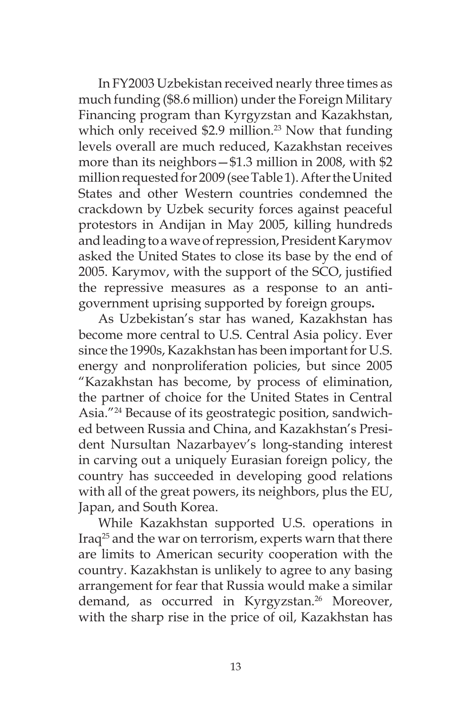In FY2003 Uzbekistan received nearly three times as much funding (\$8.6 million) under the Foreign Military Financing program than Kyrgyzstan and Kazakhstan, which only received  $$2.9$  million.<sup>23</sup> Now that funding levels overall are much reduced, Kazakhstan receives more than its neighbors—\$1.3 million in 2008, with \$2 million requested for 2009 (see Table 1). After the United States and other Western countries condemned the crackdown by Uzbek security forces against peaceful protestors in Andijan in May 2005, killing hundreds and leading to a wave of repression, President Karymov asked the United States to close its base by the end of 2005. Karymov, with the support of the SCO, justified the repressive measures as a response to an antigovernment uprising supported by foreign groups**.**

As Uzbekistan's star has waned, Kazakhstan has become more central to U.S. Central Asia policy. Ever since the 1990s, Kazakhstan has been important for U.S. energy and nonproliferation policies, but since 2005 "Kazakhstan has become, by process of elimination, the partner of choice for the United States in Central Asia."24 Because of its geostrategic position, sandwiched between Russia and China, and Kazakhstan's President Nursultan Nazarbayev's long-standing interest in carving out a uniquely Eurasian foreign policy, the country has succeeded in developing good relations with all of the great powers, its neighbors, plus the EU, Japan, and South Korea.

While Kazakhstan supported U.S. operations in Iraq<sup>25</sup> and the war on terrorism, experts warn that there are limits to American security cooperation with the country. Kazakhstan is unlikely to agree to any basing arrangement for fear that Russia would make a similar demand, as occurred in Kyrgyzstan.<sup>26</sup> Moreover, with the sharp rise in the price of oil, Kazakhstan has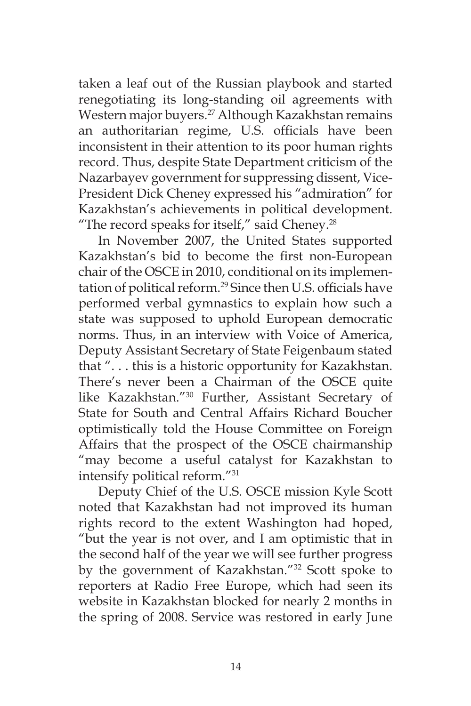taken a leaf out of the Russian playbook and started renegotiating its long-standing oil agreements with Western major buyers.<sup>27</sup> Although Kazakhstan remains an authoritarian regime, U.S. officials have been inconsistent in their attention to its poor human rights record. Thus, despite State Department criticism of the Nazarbayev government for suppressing dissent, Vice-President Dick Cheney expressed his "admiration" for Kazakhstan's achievements in political development. "The record speaks for itself," said Cheney. $28$ 

In November 2007, the United States supported Kazakhstan's bid to become the first non-European chair of the OSCE in 2010, conditional on its implementation of political reform.29 Since then U.S. officials have performed verbal gymnastics to explain how such a state was supposed to uphold European democratic norms. Thus, in an interview with Voice of America, Deputy Assistant Secretary of State Feigenbaum stated that ". . . this is a historic opportunity for Kazakhstan. There's never been a Chairman of the OSCE quite like Kazakhstan."30 Further, Assistant Secretary of State for South and Central Affairs Richard Boucher optimistically told the House Committee on Foreign Affairs that the prospect of the OSCE chairmanship "may become a useful catalyst for Kazakhstan to intensify political reform."31

Deputy Chief of the U.S. OSCE mission Kyle Scott noted that Kazakhstan had not improved its human rights record to the extent Washington had hoped, "but the year is not over, and I am optimistic that in the second half of the year we will see further progress by the government of Kazakhstan."32 Scott spoke to reporters at Radio Free Europe, which had seen its website in Kazakhstan blocked for nearly 2 months in the spring of 2008. Service was restored in early June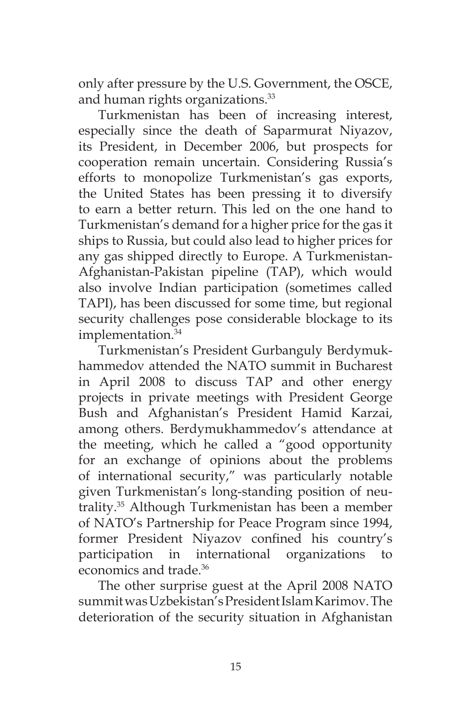only after pressure by the U.S. Government, the OSCE, and human rights organizations.<sup>33</sup>

Turkmenistan has been of increasing interest, especially since the death of Saparmurat Niyazov, its President, in December 2006, but prospects for cooperation remain uncertain. Considering Russia's efforts to monopolize Turkmenistan's gas exports, the United States has been pressing it to diversify to earn a better return. This led on the one hand to Turkmenistan's demand for a higher price for the gas it ships to Russia, but could also lead to higher prices for any gas shipped directly to Europe. A Turkmenistan-Afghanistan-Pakistan pipeline (TAP), which would also involve Indian participation (sometimes called TAPI), has been discussed for some time, but regional security challenges pose considerable blockage to its implementation.<sup>34</sup>

Turkmenistan's President Gurbanguly Berdymukhammedov attended the NATO summit in Bucharest in April 2008 to discuss TAP and other energy projects in private meetings with President George Bush and Afghanistan's President Hamid Karzai, among others. Berdymukhammedov's attendance at the meeting, which he called a "good opportunity for an exchange of opinions about the problems of international security," was particularly notable given Turkmenistan's long-standing position of neutrality.35 Although Turkmenistan has been a member of NATO's Partnership for Peace Program since 1994, former President Niyazov confined his country's participation in international organizations to economics and trade.36

The other surprise guest at the April 2008 NATO summit was Uzbekistan's President Islam Karimov. The deterioration of the security situation in Afghanistan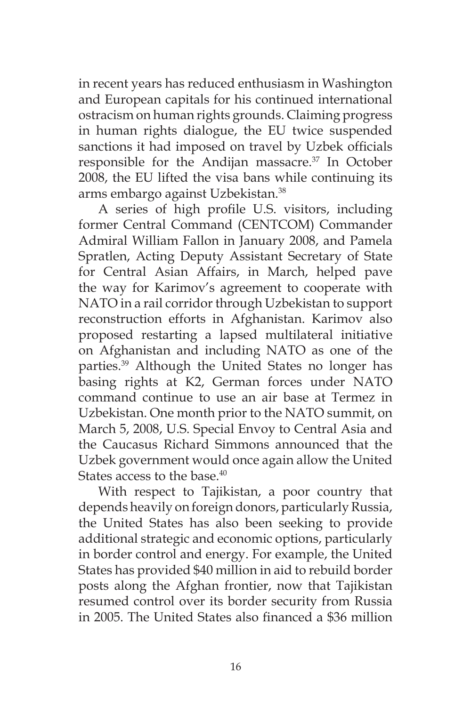in recent years has reduced enthusiasm in Washington and European capitals for his continued international ostracism on human rights grounds. Claiming progress in human rights dialogue, the EU twice suspended sanctions it had imposed on travel by Uzbek officials responsible for the Andijan massacre.<sup>37</sup> In October 2008, the EU lifted the visa bans while continuing its arms embargo against Uzbekistan.38

A series of high profile U.S. visitors, including former Central Command (CENTCOM) Commander Admiral William Fallon in January 2008, and Pamela Spratlen, Acting Deputy Assistant Secretary of State for Central Asian Affairs, in March, helped pave the way for Karimov's agreement to cooperate with NATO in a rail corridor through Uzbekistan to support reconstruction efforts in Afghanistan. Karimov also proposed restarting a lapsed multilateral initiative on Afghanistan and including NATO as one of the parties.39 Although the United States no longer has basing rights at K2, German forces under NATO command continue to use an air base at Termez in Uzbekistan. One month prior to the NATO summit, on March 5, 2008, U.S. Special Envoy to Central Asia and the Caucasus Richard Simmons announced that the Uzbek government would once again allow the United States access to the base.<sup>40</sup>

With respect to Tajikistan, a poor country that depends heavily on foreign donors, particularly Russia, the United States has also been seeking to provide additional strategic and economic options, particularly in border control and energy. For example, the United States has provided \$40 million in aid to rebuild border posts along the Afghan frontier, now that Tajikistan resumed control over its border security from Russia in 2005. The United States also financed a \$36 million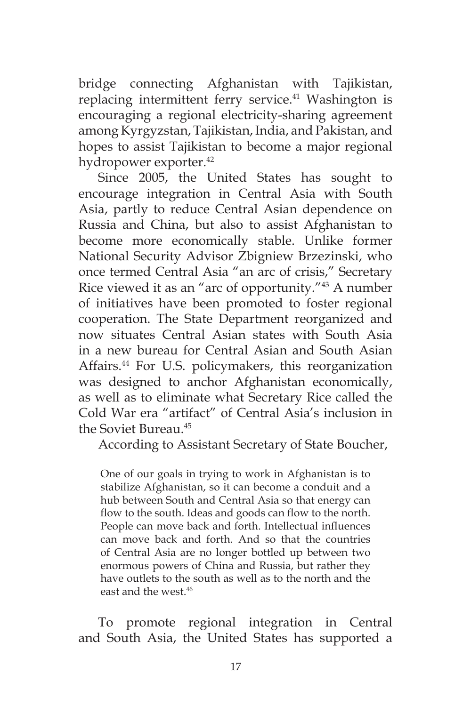bridge connecting Afghanistan with Tajikistan, replacing intermittent ferry service.<sup>41</sup> Washington is encouraging a regional electricity-sharing agreement among Kyrgyzstan, Tajikistan, India, and Pakistan, and hopes to assist Tajikistan to become a major regional hydropower exporter.42

Since 2005, the United States has sought to encourage integration in Central Asia with South Asia, partly to reduce Central Asian dependence on Russia and China, but also to assist Afghanistan to become more economically stable. Unlike former National Security Advisor Zbigniew Brzezinski, who once termed Central Asia "an arc of crisis," Secretary Rice viewed it as an "arc of opportunity."43 A number of initiatives have been promoted to foster regional cooperation. The State Department reorganized and now situates Central Asian states with South Asia in a new bureau for Central Asian and South Asian Affairs.44 For U.S. policymakers, this reorganization was designed to anchor Afghanistan economically, as well as to eliminate what Secretary Rice called the Cold War era "artifact" of Central Asia's inclusion in the Soviet Bureau.45

According to Assistant Secretary of State Boucher,

One of our goals in trying to work in Afghanistan is to stabilize Afghanistan, so it can become a conduit and a hub between South and Central Asia so that energy can flow to the south. Ideas and goods can flow to the north. People can move back and forth. Intellectual influences can move back and forth. And so that the countries of Central Asia are no longer bottled up between two enormous powers of China and Russia, but rather they have outlets to the south as well as to the north and the east and the west  $46$ 

To promote regional integration in Central and South Asia, the United States has supported a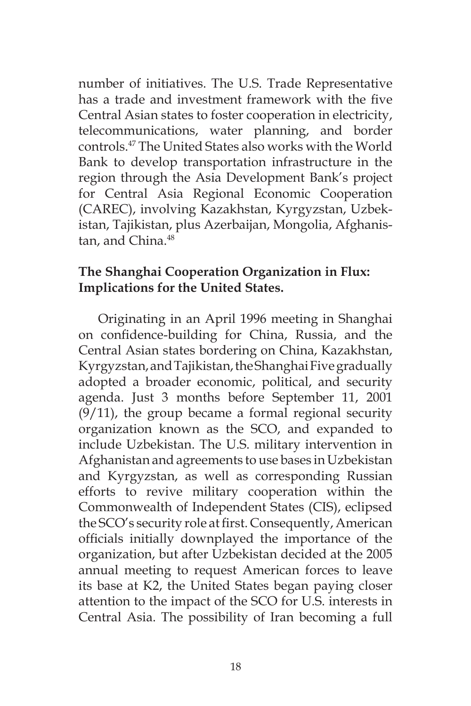number of initiatives. The U.S. Trade Representative has a trade and investment framework with the five Central Asian states to foster cooperation in electricity, telecommunications, water planning, and border controls.47 The United States also works with the World Bank to develop transportation infrastructure in the region through the Asia Development Bank's project for Central Asia Regional Economic Cooperation (CAREC), involving Kazakhstan, Kyrgyzstan, Uzbekistan, Tajikistan, plus Azerbaijan, Mongolia, Afghanistan, and China.<sup>48</sup>

### **The Shanghai Cooperation Organization in Flux: Implications for the United States.**

Originating in an April 1996 meeting in Shanghai on confidence-building for China, Russia, and the Central Asian states bordering on China, Kazakhstan, Kyrgyzstan, and Tajikistan, the Shanghai Five gradually adopted a broader economic, political, and security agenda. Just 3 months before September 11, 2001  $(9/11)$ , the group became a formal regional security organization known as the SCO, and expanded to include Uzbekistan. The U.S. military intervention in Afghanistan and agreements to use bases in Uzbekistan and Kyrgyzstan, as well as corresponding Russian efforts to revive military cooperation within the Commonwealth of Independent States (CIS), eclipsed the SCO's security role at first. Consequently, American officials initially downplayed the importance of the organization, but after Uzbekistan decided at the 2005 annual meeting to request American forces to leave its base at K2, the United States began paying closer attention to the impact of the SCO for U.S. interests in Central Asia. The possibility of Iran becoming a full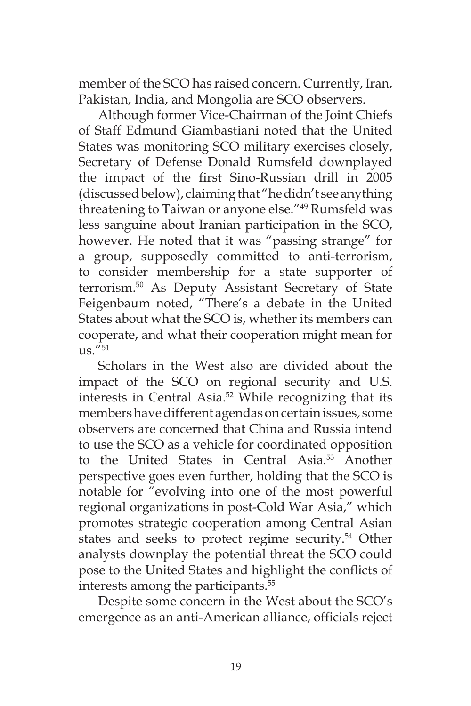member of the SCO has raised concern. Currently, Iran, Pakistan, India, and Mongolia are SCO observers.

Although former Vice-Chairman of the Joint Chiefs of Staff Edmund Giambastiani noted that the United States was monitoring SCO military exercises closely, Secretary of Defense Donald Rumsfeld downplayed the impact of the first Sino-Russian drill in 2005 (discussed below), claiming that "he didn't see anything threatening to Taiwan or anyone else."49 Rumsfeld was less sanguine about Iranian participation in the SCO, however. He noted that it was "passing strange" for a group, supposedly committed to anti-terrorism, to consider membership for a state supporter of terrorism.50 As Deputy Assistant Secretary of State Feigenbaum noted, "There's a debate in the United States about what the SCO is, whether its members can cooperate, and what their cooperation might mean for  $11S$ .  $"51$ 

Scholars in the West also are divided about the impact of the SCO on regional security and U.S. interests in Central Asia.52 While recognizing that its members have different agendas on certain issues, some observers are concerned that China and Russia intend to use the SCO as a vehicle for coordinated opposition to the United States in Central Asia.<sup>53</sup> Another perspective goes even further, holding that the SCO is notable for "evolving into one of the most powerful regional organizations in post-Cold War Asia," which promotes strategic cooperation among Central Asian states and seeks to protect regime security.<sup>54</sup> Other analysts downplay the potential threat the SCO could pose to the United States and highlight the conflicts of interests among the participants.<sup>55</sup>

Despite some concern in the West about the SCO's emergence as an anti-American alliance, officials reject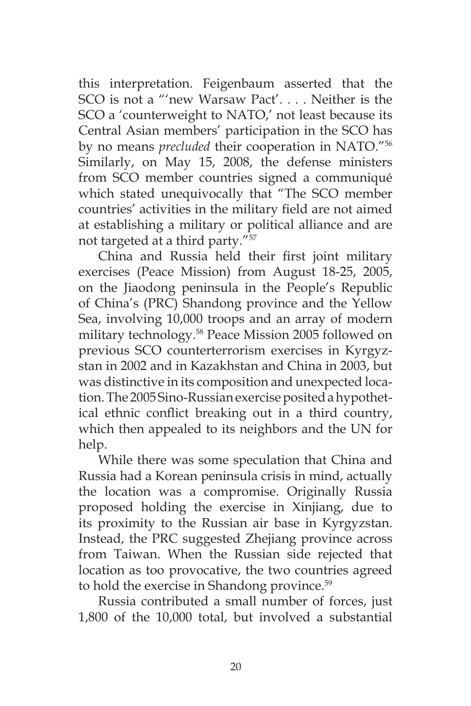this interpretation. Feigenbaum asserted that the SCO is not a "'new Warsaw Pact'. . . . Neither is the SCO a 'counterweight to NATO,' not least because its Central Asian members' participation in the SCO has by no means *precluded* their cooperation in NATO."56 Similarly, on May 15, 2008, the defense ministers from SCO member countries signed a communiqué which stated unequivocally that "The SCO member countries' activities in the military field are not aimed at establishing a military or political alliance and are not targeted at a third party."57

China and Russia held their first joint military exercises (Peace Mission) from August 18-25, 2005, on the Jiaodong peninsula in the People's Republic of China's (PRC) Shandong province and the Yellow Sea, involving 10,000 troops and an array of modern military technology.58 Peace Mission 2005 followed on previous SCO counterterrorism exercises in Kyrgyzstan in 2002 and in Kazakhstan and China in 2003, but was distinctive in its composition and unexpected location. The 2005 Sino-Russian exercise posited a hypothetical ethnic conflict breaking out in a third country, which then appealed to its neighbors and the UN for help.

While there was some speculation that China and Russia had a Korean peninsula crisis in mind, actually the location was a compromise. Originally Russia proposed holding the exercise in Xinjiang, due to its proximity to the Russian air base in Kyrgyzstan. Instead, the PRC suggested Zhejiang province across from Taiwan. When the Russian side rejected that location as too provocative, the two countries agreed to hold the exercise in Shandong province.<sup>59</sup>

Russia contributed a small number of forces, just 1,800 of the 10,000 total, but involved a substantial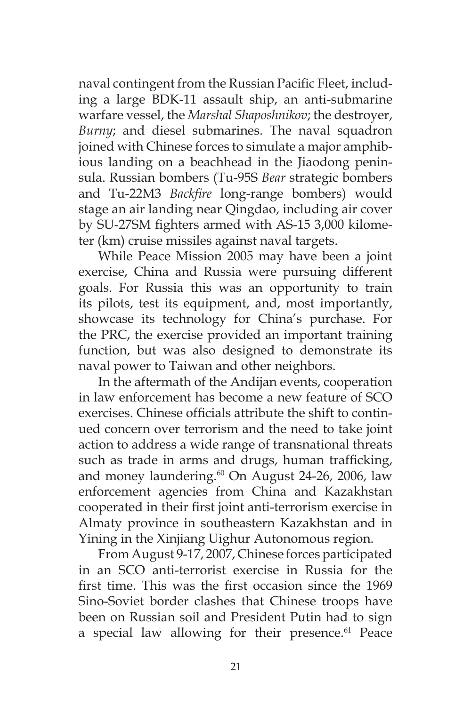naval contingent from the Russian Pacific Fleet, including a large BDK-11 assault ship, an anti-submarine warfare vessel, the *Marshal Shaposhnikov*; the destroyer, *Burny*; and diesel submarines. The naval squadron joined with Chinese forces to simulate a major amphibious landing on a beachhead in the Jiaodong peninsula. Russian bombers (Tu-95S *Bear* strategic bombers and Tu-22M3 *Backfire* long-range bombers) would stage an air landing near Qingdao, including air cover by SU-27SM fighters armed with AS-15 3,000 kilometer (km) cruise missiles against naval targets.

While Peace Mission 2005 may have been a joint exercise, China and Russia were pursuing different goals. For Russia this was an opportunity to train its pilots, test its equipment, and, most importantly, showcase its technology for China's purchase. For the PRC, the exercise provided an important training function, but was also designed to demonstrate its naval power to Taiwan and other neighbors.

In the aftermath of the Andijan events, cooperation in law enforcement has become a new feature of SCO exercises. Chinese officials attribute the shift to continued concern over terrorism and the need to take joint action to address a wide range of transnational threats such as trade in arms and drugs, human trafficking, and money laundering.<sup>60</sup> On August 24-26, 2006, law enforcement agencies from China and Kazakhstan cooperated in their first joint anti-terrorism exercise in Almaty province in southeastern Kazakhstan and in Yining in the Xinjiang Uighur Autonomous region.

From August 9-17, 2007, Chinese forces participated in an SCO anti-terrorist exercise in Russia for the first time. This was the first occasion since the 1969 Sino-Soviet border clashes that Chinese troops have been on Russian soil and President Putin had to sign a special law allowing for their presence.<sup>61</sup> Peace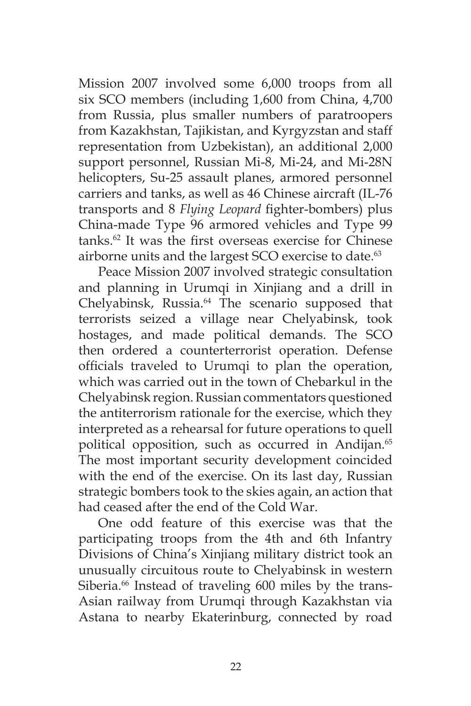Mission 2007 involved some 6,000 troops from all six SCO members (including 1,600 from China, 4,700 from Russia, plus smaller numbers of paratroopers from Kazakhstan, Tajikistan, and Kyrgyzstan and staff representation from Uzbekistan), an additional 2,000 support personnel, Russian Mi-8, Mi-24, and Mi-28N helicopters, Su-25 assault planes, armored personnel carriers and tanks, as well as 46 Chinese aircraft (IL-76 transports and 8 *Flying Leopard* fighter-bombers) plus China-made Type 96 armored vehicles and Type 99 tanks.62 It was the first overseas exercise for Chinese airborne units and the largest SCO exercise to date.<sup>63</sup>

Peace Mission 2007 involved strategic consultation and planning in Urumqi in Xinjiang and a drill in Chelyabinsk, Russia.<sup>64</sup> The scenario supposed that terrorists seized a village near Chelyabinsk, took hostages, and made political demands. The SCO then ordered a counterterrorist operation. Defense officials traveled to Urumqi to plan the operation, which was carried out in the town of Chebarkul in the Chelyabinsk region. Russian commentators questioned the antiterrorism rationale for the exercise, which they interpreted as a rehearsal for future operations to quell political opposition, such as occurred in Andijan.<sup>65</sup> The most important security development coincided with the end of the exercise. On its last day, Russian strategic bombers took to the skies again, an action that had ceased after the end of the Cold War.

One odd feature of this exercise was that the participating troops from the 4th and 6th Infantry Divisions of China's Xinjiang military district took an unusually circuitous route to Chelyabinsk in western Siberia.<sup>66</sup> Instead of traveling 600 miles by the trans-Asian railway from Urumqi through Kazakhstan via Astana to nearby Ekaterinburg, connected by road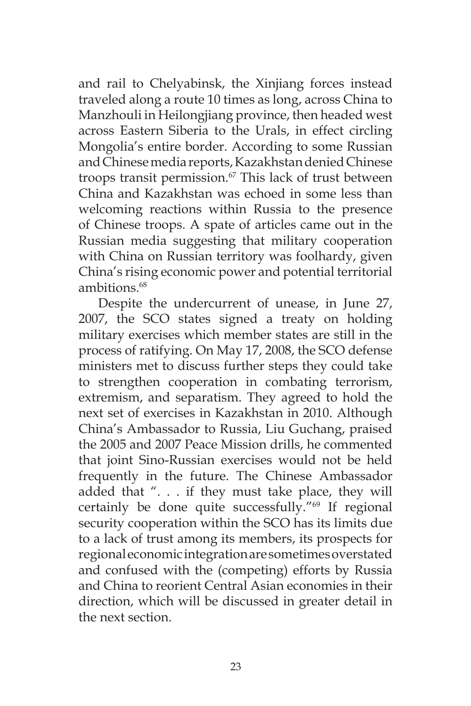and rail to Chelyabinsk, the Xinjiang forces instead traveled along a route 10 times as long, across China to Manzhouli in Heilongjiang province, then headed west across Eastern Siberia to the Urals, in effect circling Mongolia's entire border. According to some Russian and Chinese media reports, Kazakhstan denied Chinese troops transit permission.<sup>67</sup> This lack of trust between China and Kazakhstan was echoed in some less than welcoming reactions within Russia to the presence of Chinese troops. A spate of articles came out in the Russian media suggesting that military cooperation with China on Russian territory was foolhardy, given China's rising economic power and potential territorial ambitions<sup>68</sup>

Despite the undercurrent of unease, in June 27, 2007, the SCO states signed a treaty on holding military exercises which member states are still in the process of ratifying. On May 17, 2008, the SCO defense ministers met to discuss further steps they could take to strengthen cooperation in combating terrorism, extremism, and separatism. They agreed to hold the next set of exercises in Kazakhstan in 2010. Although China's Ambassador to Russia, Liu Guchang, praised the 2005 and 2007 Peace Mission drills, he commented that joint Sino-Russian exercises would not be held frequently in the future. The Chinese Ambassador added that ". . . if they must take place, they will certainly be done quite successfully."69 If regional security cooperation within the SCO has its limits due to a lack of trust among its members, its prospects for regional economic integration are sometimes overstated and confused with the (competing) efforts by Russia and China to reorient Central Asian economies in their direction, which will be discussed in greater detail in the next section.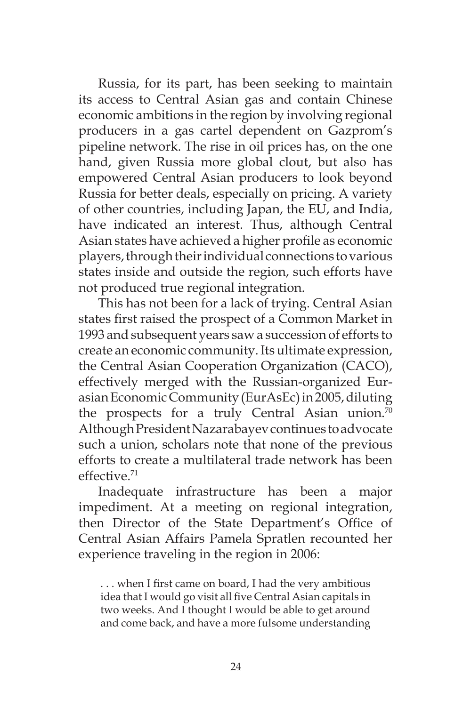Russia, for its part, has been seeking to maintain its access to Central Asian gas and contain Chinese economic ambitions in the region by involving regional producers in a gas cartel dependent on Gazprom's pipeline network. The rise in oil prices has, on the one hand, given Russia more global clout, but also has empowered Central Asian producers to look beyond Russia for better deals, especially on pricing. A variety of other countries, including Japan, the EU, and India, have indicated an interest. Thus, although Central Asian states have achieved a higher profile as economic players, through their individual connections to various states inside and outside the region, such efforts have not produced true regional integration.

This has not been for a lack of trying. Central Asian states first raised the prospect of a Common Market in 1993 and subsequent years saw a succession of efforts to create an economic community. Its ultimate expression, the Central Asian Cooperation Organization (CACO), effectively merged with the Russian-organized Eurasian Economic Community (EurAsEc) in 2005, diluting the prospects for a truly Central Asian union.<sup>70</sup> Although President Nazarabayev continues to advocate such a union, scholars note that none of the previous efforts to create a multilateral trade network has been effective.71

Inadequate infrastructure has been a major impediment. At a meeting on regional integration, then Director of the State Department's Office of Central Asian Affairs Pamela Spratlen recounted her experience traveling in the region in 2006:

. . . when I first came on board, I had the very ambitious idea that I would go visit all five Central Asian capitals in two weeks. And I thought I would be able to get around and come back, and have a more fulsome understanding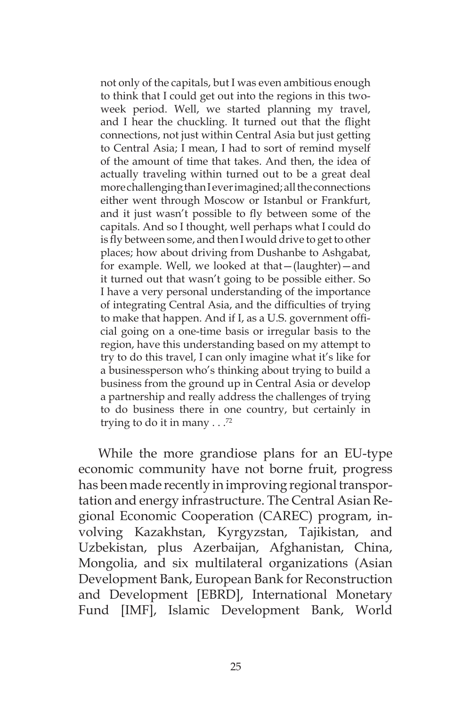not only of the capitals, but I was even ambitious enough to think that I could get out into the regions in this twoweek period. Well, we started planning my travel, and I hear the chuckling. It turned out that the flight connections, not just within Central Asia but just getting to Central Asia; I mean, I had to sort of remind myself of the amount of time that takes. And then, the idea of actually traveling within turned out to be a great deal more challenging than I ever imagined; all the connections either went through Moscow or Istanbul or Frankfurt, and it just wasn't possible to fly between some of the capitals. And so I thought, well perhaps what I could do is fly between some, and then I would drive to get to other places; how about driving from Dushanbe to Ashgabat, for example. Well, we looked at that—(laughter)—and it turned out that wasn't going to be possible either. So I have a very personal understanding of the importance of integrating Central Asia, and the difficulties of trying to make that happen. And if I, as a U.S. government official going on a one-time basis or irregular basis to the region, have this understanding based on my attempt to try to do this travel, I can only imagine what it's like for a businessperson who's thinking about trying to build a business from the ground up in Central Asia or develop a partnership and really address the challenges of trying to do business there in one country, but certainly in trying to do it in many  $\ldots$ <sup>72</sup>

While the more grandiose plans for an EU-type economic community have not borne fruit, progress has been made recently in improving regional transportation and energy infrastructure. The Central Asian Regional Economic Cooperation (CAREC) program, involving Kazakhstan, Kyrgyzstan, Tajikistan, and Uzbekistan, plus Azerbaijan, Afghanistan, China, Mongolia, and six multilateral organizations (Asian Development Bank, European Bank for Reconstruction and Development [EBRD], International Monetary Fund [IMF], Islamic Development Bank, World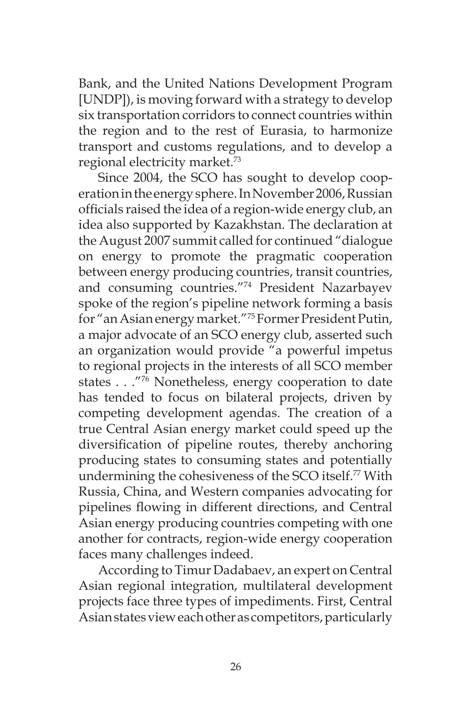Bank, and the United Nations Development Program [UNDP]), is moving forward with a strategy to develop six transportation corridors to connect countries within the region and to the rest of Eurasia, to harmonize transport and customs regulations, and to develop a regional electricity market.73

Since 2004, the SCO has sought to develop cooperation in the energy sphere. In November 2006, Russian officials raised the idea of a region-wide energy club, an idea also supported by Kazakhstan. The declaration at the August 2007 summit called for continued "dialogue on energy to promote the pragmatic cooperation between energy producing countries, transit countries, and consuming countries."74 President Nazarbayev spoke of the region's pipeline network forming a basis for "an Asian energy market."75 Former President Putin, a major advocate of an SCO energy club, asserted such an organization would provide "a powerful impetus to regional projects in the interests of all SCO member states . . ."76 Nonetheless, energy cooperation to date has tended to focus on bilateral projects, driven by competing development agendas. The creation of a true Central Asian energy market could speed up the diversification of pipeline routes, thereby anchoring producing states to consuming states and potentially undermining the cohesiveness of the SCO itself.<sup>77</sup> With Russia, China, and Western companies advocating for pipelines flowing in different directions, and Central Asian energy producing countries competing with one another for contracts, region-wide energy cooperation faces many challenges indeed.

According to Timur Dadabaev, an expert on Central Asian regional integration, multilateral development projects face three types of impediments. First, Central Asian states view each other as competitors, particularly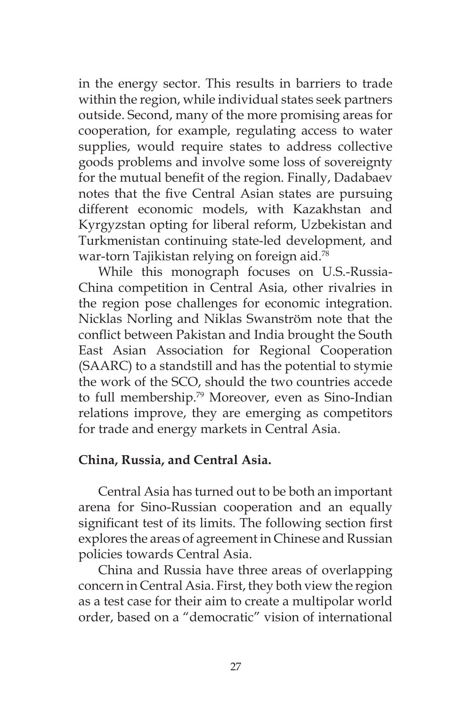in the energy sector. This results in barriers to trade within the region, while individual states seek partners outside. Second, many of the more promising areas for cooperation, for example, regulating access to water supplies, would require states to address collective goods problems and involve some loss of sovereignty for the mutual benefit of the region. Finally, Dadabaev notes that the five Central Asian states are pursuing different economic models, with Kazakhstan and Kyrgyzstan opting for liberal reform, Uzbekistan and Turkmenistan continuing state-led development, and war-torn Tajikistan relying on foreign aid.<sup>78</sup>

While this monograph focuses on U.S.-Russia-China competition in Central Asia, other rivalries in the region pose challenges for economic integration. Nicklas Norling and Niklas Swanström note that the conflict between Pakistan and India brought the South East Asian Association for Regional Cooperation (SAARC) to a standstill and has the potential to stymie the work of the SCO, should the two countries accede to full membership.<sup>79</sup> Moreover, even as Sino-Indian relations improve, they are emerging as competitors for trade and energy markets in Central Asia.

### **China, Russia, and Central Asia.**

Central Asia has turned out to be both an important arena for Sino-Russian cooperation and an equally significant test of its limits. The following section first explores the areas of agreement in Chinese and Russian policies towards Central Asia.

China and Russia have three areas of overlapping concern in Central Asia. First, they both view the region as a test case for their aim to create a multipolar world order, based on a "democratic" vision of international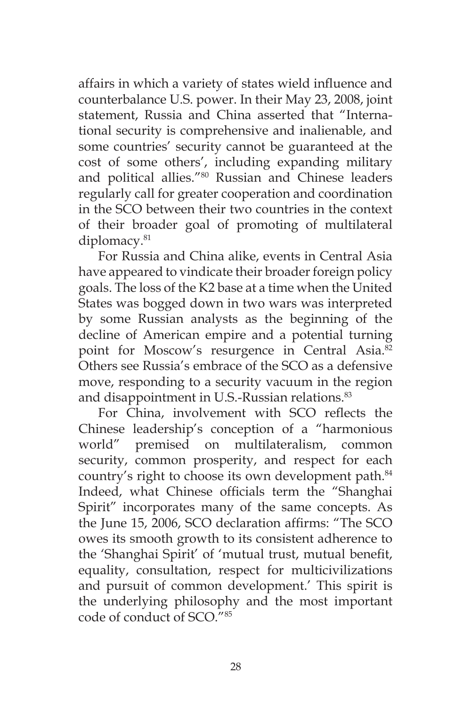affairs in which a variety of states wield influence and counterbalance U.S. power. In their May 23, 2008, joint statement, Russia and China asserted that "International security is comprehensive and inalienable, and some countries' security cannot be guaranteed at the cost of some others', including expanding military and political allies."80 Russian and Chinese leaders regularly call for greater cooperation and coordination in the SCO between their two countries in the context of their broader goal of promoting of multilateral diplomacy.<sup>81</sup>

For Russia and China alike, events in Central Asia have appeared to vindicate their broader foreign policy goals. The loss of the K2 base at a time when the United States was bogged down in two wars was interpreted by some Russian analysts as the beginning of the decline of American empire and a potential turning point for Moscow's resurgence in Central Asia.<sup>82</sup> Others see Russia's embrace of the SCO as a defensive move, responding to a security vacuum in the region and disappointment in U.S.-Russian relations.<sup>83</sup>

For China, involvement with SCO reflects the Chinese leadership's conception of a "harmonious world" premised on multilateralism, common security, common prosperity, and respect for each country's right to choose its own development path.<sup>84</sup> Indeed, what Chinese officials term the "Shanghai Spirit" incorporates many of the same concepts. As the June 15, 2006, SCO declaration affirms: "The SCO owes its smooth growth to its consistent adherence to the 'Shanghai Spirit' of 'mutual trust, mutual benefit, equality, consultation, respect for multicivilizations and pursuit of common development.' This spirit is the underlying philosophy and the most important code of conduct of SCO<sup>"85</sup>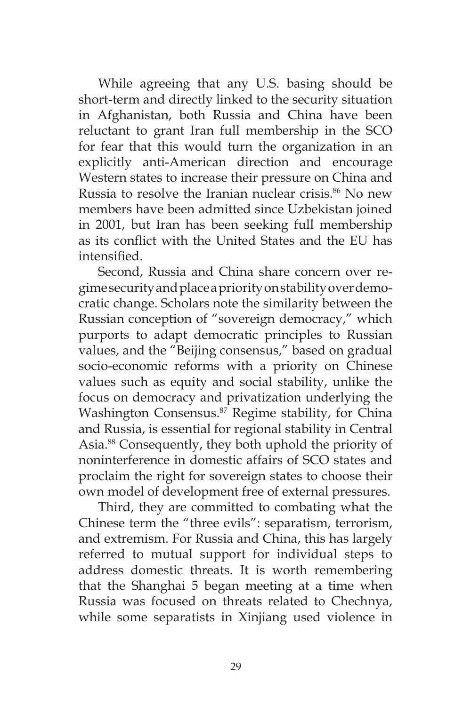While agreeing that any U.S. basing should be short-term and directly linked to the security situation in Afghanistan, both Russia and China have been reluctant to grant Iran full membership in the SCO for fear that this would turn the organization in an explicitly anti-American direction and encourage Western states to increase their pressure on China and Russia to resolve the Iranian nuclear crisis.<sup>86</sup> No new members have been admitted since Uzbekistan joined in 2001, but Iran has been seeking full membership as its conflict with the United States and the EU has intensified.

Second, Russia and China share concern over regime security and place a priority on stability over democratic change. Scholars note the similarity between the Russian conception of "sovereign democracy," which purports to adapt democratic principles to Russian values, and the "Beijing consensus," based on gradual socio-economic reforms with a priority on Chinese values such as equity and social stability, unlike the focus on democracy and privatization underlying the Washington Consensus.<sup>87</sup> Regime stability, for China and Russia, is essential for regional stability in Central Asia.88 Consequently, they both uphold the priority of noninterference in domestic affairs of SCO states and proclaim the right for sovereign states to choose their own model of development free of external pressures.

Third, they are committed to combating what the Chinese term the "three evils": separatism, terrorism, and extremism. For Russia and China, this has largely referred to mutual support for individual steps to address domestic threats. It is worth remembering that the Shanghai 5 began meeting at a time when Russia was focused on threats related to Chechnya, while some separatists in Xinjiang used violence in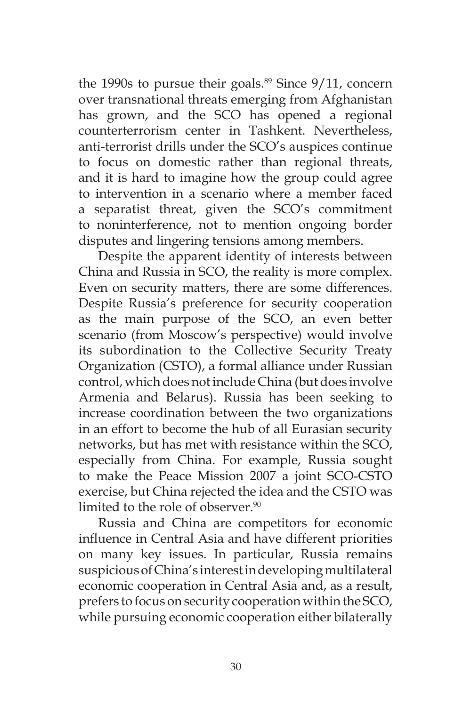the 1990s to pursue their goals. $89$  Since 9/11, concern over transnational threats emerging from Afghanistan has grown, and the SCO has opened a regional counterterrorism center in Tashkent. Nevertheless, anti-terrorist drills under the SCO's auspices continue to focus on domestic rather than regional threats, and it is hard to imagine how the group could agree to intervention in a scenario where a member faced a separatist threat, given the SCO's commitment to noninterference, not to mention ongoing border disputes and lingering tensions among members.

Despite the apparent identity of interests between China and Russia in SCO, the reality is more complex. Even on security matters, there are some differences. Despite Russia's preference for security cooperation as the main purpose of the SCO, an even better scenario (from Moscow's perspective) would involve its subordination to the Collective Security Treaty Organization (CSTO), a formal alliance under Russian control, which does not include China (but does involve Armenia and Belarus). Russia has been seeking to increase coordination between the two organizations in an effort to become the hub of all Eurasian security networks, but has met with resistance within the SCO, especially from China. For example, Russia sought to make the Peace Mission 2007 a joint SCO-CSTO exercise, but China rejected the idea and the CSTO was limited to the role of observer.<sup>90</sup>

Russia and China are competitors for economic influence in Central Asia and have different priorities on many key issues. In particular, Russia remains suspicious of China's interest in developing multilateral economic cooperation in Central Asia and, as a result, prefers to focus on security cooperation within the SCO, while pursuing economic cooperation either bilaterally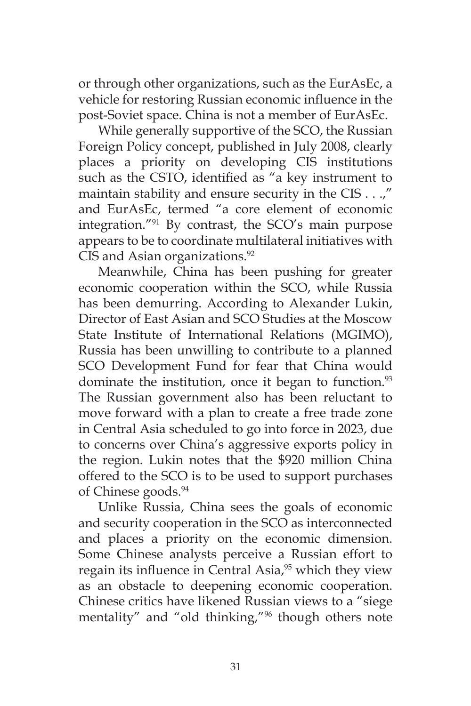or through other organizations, such as the EurAsEc, a vehicle for restoring Russian economic influence in the post-Soviet space. China is not a member of EurAsEc.

While generally supportive of the SCO, the Russian Foreign Policy concept, published in July 2008, clearly places a priority on developing CIS institutions such as the CSTO, identified as "a key instrument to maintain stability and ensure security in the CIS . . .," and EurAsEc, termed "a core element of economic integration."91 By contrast, the SCO's main purpose appears to be to coordinate multilateral initiatives with CIS and Asian organizations.<sup>92</sup>

Meanwhile, China has been pushing for greater economic cooperation within the SCO, while Russia has been demurring. According to Alexander Lukin, Director of East Asian and SCO Studies at the Moscow State Institute of International Relations (MGIMO), Russia has been unwilling to contribute to a planned SCO Development Fund for fear that China would dominate the institution, once it began to function.<sup>93</sup> The Russian government also has been reluctant to move forward with a plan to create a free trade zone in Central Asia scheduled to go into force in 2023, due to concerns over China's aggressive exports policy in the region. Lukin notes that the \$920 million China offered to the SCO is to be used to support purchases of Chinese goods.<sup>94</sup>

Unlike Russia, China sees the goals of economic and security cooperation in the SCO as interconnected and places a priority on the economic dimension. Some Chinese analysts perceive a Russian effort to regain its influence in Central Asia, $95$  which they view as an obstacle to deepening economic cooperation. Chinese critics have likened Russian views to a "siege mentality" and "old thinking,"96 though others note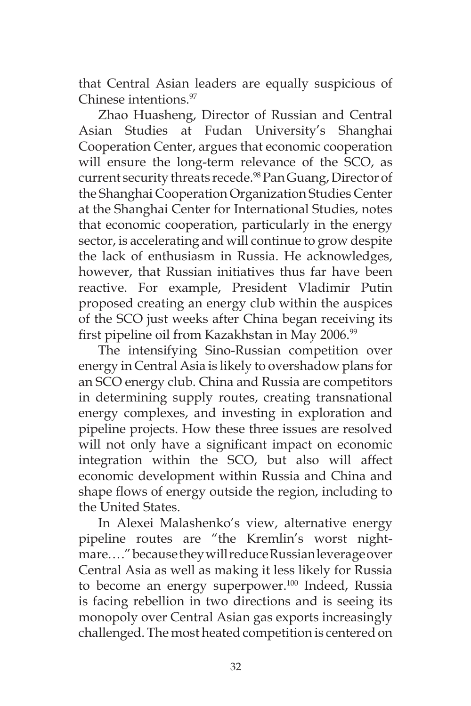that Central Asian leaders are equally suspicious of Chinese intentions.97

Zhao Huasheng, Director of Russian and Central Asian Studies at Fudan University's Shanghai Cooperation Center, argues that economic cooperation will ensure the long-term relevance of the SCO, as current security threats recede.<sup>98</sup> Pan Guang, Director of the Shanghai Cooperation Organization Studies Center at the Shanghai Center for International Studies, notes that economic cooperation, particularly in the energy sector, is accelerating and will continue to grow despite the lack of enthusiasm in Russia. He acknowledges, however, that Russian initiatives thus far have been reactive. For example, President Vladimir Putin proposed creating an energy club within the auspices of the SCO just weeks after China began receiving its first pipeline oil from Kazakhstan in May 2006.<sup>99</sup>

The intensifying Sino-Russian competition over energy in Central Asia is likely to overshadow plans for an SCO energy club. China and Russia are competitors in determining supply routes, creating transnational energy complexes, and investing in exploration and pipeline projects. How these three issues are resolved will not only have a significant impact on economic integration within the SCO, but also will affect economic development within Russia and China and shape flows of energy outside the region, including to the United States.

In Alexei Malashenko's view, alternative energy pipeline routes are "the Kremlin's worst nightmare. . . ." because they will reduce Russian leverage over Central Asia as well as making it less likely for Russia to become an energy superpower.<sup>100</sup> Indeed, Russia is facing rebellion in two directions and is seeing its monopoly over Central Asian gas exports increasingly challenged. The most heated competition is centered on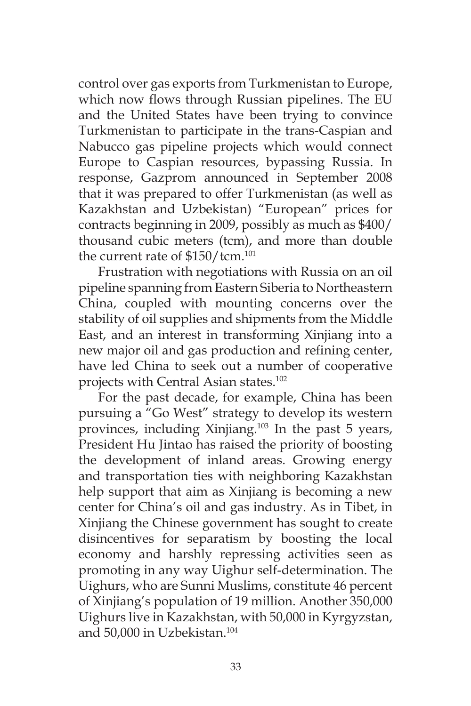control over gas exports from Turkmenistan to Europe, which now flows through Russian pipelines. The EU and the United States have been trying to convince Turkmenistan to participate in the trans-Caspian and Nabucco gas pipeline projects which would connect Europe to Caspian resources, bypassing Russia. In response, Gazprom announced in September 2008 that it was prepared to offer Turkmenistan (as well as Kazakhstan and Uzbekistan) "European" prices for contracts beginning in 2009, possibly as much as \$400/ thousand cubic meters (tcm), and more than double the current rate of \$150/tcm.<sup>101</sup>

Frustration with negotiations with Russia on an oil pipeline spanning from Eastern Siberia to Northeastern China, coupled with mounting concerns over the stability of oil supplies and shipments from the Middle East, and an interest in transforming Xinjiang into a new major oil and gas production and refining center, have led China to seek out a number of cooperative projects with Central Asian states.<sup>102</sup>

For the past decade, for example, China has been pursuing a "Go West" strategy to develop its western provinces, including Xinjiang.103 In the past 5 years, President Hu Jintao has raised the priority of boosting the development of inland areas. Growing energy and transportation ties with neighboring Kazakhstan help support that aim as Xinjiang is becoming a new center for China's oil and gas industry. As in Tibet, in Xinjiang the Chinese government has sought to create disincentives for separatism by boosting the local economy and harshly repressing activities seen as promoting in any way Uighur self-determination. The Uighurs, who are Sunni Muslims, constitute 46 percent of Xinjiang's population of 19 million. Another 350,000 Uighurs live in Kazakhstan, with 50,000 in Kyrgyzstan, and 50,000 in Uzbekistan.104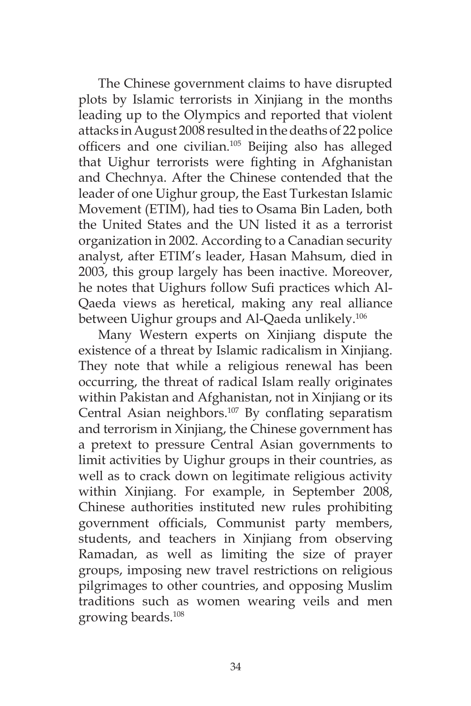The Chinese government claims to have disrupted plots by Islamic terrorists in Xinjiang in the months leading up to the Olympics and reported that violent attacks in August 2008 resulted in the deaths of 22 police officers and one civilian.<sup>105</sup> Beijing also has alleged that Uighur terrorists were fighting in Afghanistan and Chechnya. After the Chinese contended that the leader of one Uighur group, the East Turkestan Islamic Movement (ETIM), had ties to Osama Bin Laden, both the United States and the UN listed it as a terrorist organization in 2002. According to a Canadian security analyst, after ETIM's leader, Hasan Mahsum, died in 2003, this group largely has been inactive. Moreover, he notes that Uighurs follow Sufi practices which Al-Qaeda views as heretical, making any real alliance between Uighur groups and Al-Qaeda unlikely.<sup>106</sup>

Many Western experts on Xinjiang dispute the existence of a threat by Islamic radicalism in Xinjiang. They note that while a religious renewal has been occurring, the threat of radical Islam really originates within Pakistan and Afghanistan, not in Xinjiang or its Central Asian neighbors.<sup>107</sup> By conflating separatism and terrorism in Xinjiang, the Chinese government has a pretext to pressure Central Asian governments to limit activities by Uighur groups in their countries, as well as to crack down on legitimate religious activity within Xinjiang. For example, in September 2008, Chinese authorities instituted new rules prohibiting government officials, Communist party members, students, and teachers in Xinjiang from observing Ramadan, as well as limiting the size of prayer groups, imposing new travel restrictions on religious pilgrimages to other countries, and opposing Muslim traditions such as women wearing veils and men growing beards.108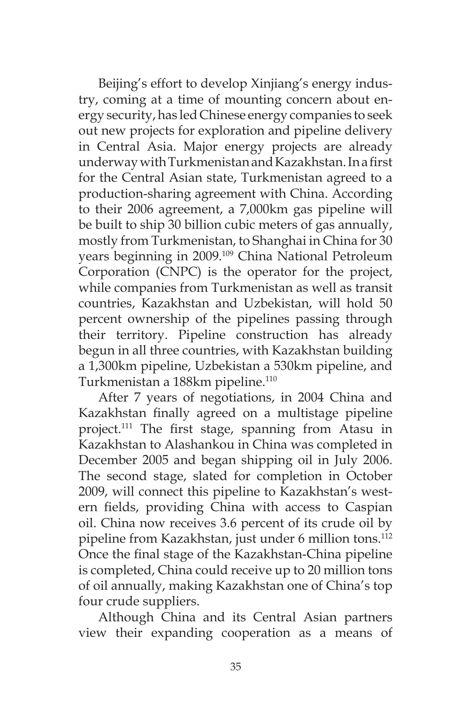Beijing's effort to develop Xinjiang's energy industry, coming at a time of mounting concern about energy security, has led Chinese energy companies to seek out new projects for exploration and pipeline delivery in Central Asia. Major energy projects are already underway with Turkmenistan and Kazakhstan. In a first for the Central Asian state, Turkmenistan agreed to a production-sharing agreement with China. According to their 2006 agreement, a 7,000km gas pipeline will be built to ship 30 billion cubic meters of gas annually, mostly from Turkmenistan, to Shanghai in China for 30 years beginning in 2009.109 China National Petroleum Corporation (CNPC) is the operator for the project, while companies from Turkmenistan as well as transit countries, Kazakhstan and Uzbekistan, will hold 50 percent ownership of the pipelines passing through their territory. Pipeline construction has already begun in all three countries, with Kazakhstan building a 1,300km pipeline, Uzbekistan a 530km pipeline, and Turkmenistan a 188km pipeline.<sup>110</sup>

After 7 years of negotiations, in 2004 China and Kazakhstan finally agreed on a multistage pipeline project.111 The first stage, spanning from Atasu in Kazakhstan to Alashankou in China was completed in December 2005 and began shipping oil in July 2006. The second stage, slated for completion in October 2009, will connect this pipeline to Kazakhstan's western fields, providing China with access to Caspian oil. China now receives 3.6 percent of its crude oil by pipeline from Kazakhstan, just under 6 million tons.<sup>112</sup> Once the final stage of the Kazakhstan-China pipeline is completed, China could receive up to 20 million tons of oil annually, making Kazakhstan one of China's top four crude suppliers.

Although China and its Central Asian partners view their expanding cooperation as a means of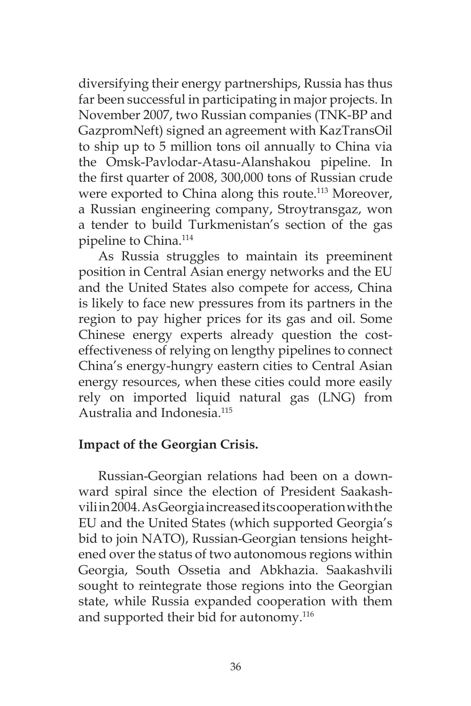diversifying their energy partnerships, Russia has thus far been successful in participating in major projects. In November 2007, two Russian companies (TNK-BP and GazpromNeft) signed an agreement with KazTransOil to ship up to 5 million tons oil annually to China via the Omsk-Pavlodar-Atasu-Alanshakou pipeline. In the first quarter of 2008, 300,000 tons of Russian crude were exported to China along this route.<sup>113</sup> Moreover, a Russian engineering company, Stroytransgaz, won a tender to build Turkmenistan's section of the gas pipeline to China.114

As Russia struggles to maintain its preeminent position in Central Asian energy networks and the EU and the United States also compete for access, China is likely to face new pressures from its partners in the region to pay higher prices for its gas and oil. Some Chinese energy experts already question the costeffectiveness of relying on lengthy pipelines to connect China's energy-hungry eastern cities to Central Asian energy resources, when these cities could more easily rely on imported liquid natural gas (LNG) from Australia and Indonesia.115

## **Impact of the Georgian Crisis.**

Russian-Georgian relations had been on a downward spiral since the election of President Saakashvili in 2004. As Georgia increased its cooperation with the EU and the United States (which supported Georgia's bid to join NATO), Russian-Georgian tensions heightened over the status of two autonomous regions within Georgia, South Ossetia and Abkhazia. Saakashvili sought to reintegrate those regions into the Georgian state, while Russia expanded cooperation with them and supported their bid for autonomy.<sup>116</sup>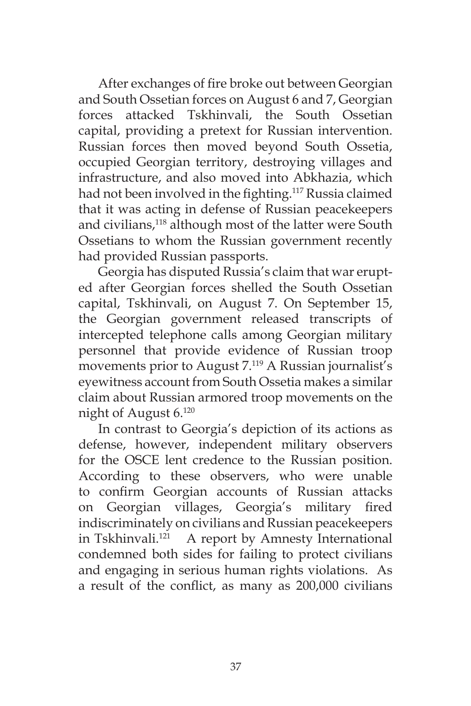After exchanges of fire broke out between Georgian and South Ossetian forces on August 6 and 7, Georgian forces attacked Tskhinvali, the South Ossetian capital, providing a pretext for Russian intervention. Russian forces then moved beyond South Ossetia, occupied Georgian territory, destroying villages and infrastructure, and also moved into Abkhazia, which had not been involved in the fighting.<sup>117</sup> Russia claimed that it was acting in defense of Russian peacekeepers and civilians,<sup>118</sup> although most of the latter were South Ossetians to whom the Russian government recently had provided Russian passports.

Georgia has disputed Russia's claim that war erupted after Georgian forces shelled the South Ossetian capital, Tskhinvali, on August 7. On September 15, the Georgian government released transcripts of intercepted telephone calls among Georgian military personnel that provide evidence of Russian troop movements prior to August 7.119 A Russian journalist's eyewitness account from South Ossetia makes a similar claim about Russian armored troop movements on the night of August 6.120

In contrast to Georgia's depiction of its actions as defense, however, independent military observers for the OSCE lent credence to the Russian position. According to these observers, who were unable to confirm Georgian accounts of Russian attacks on Georgian villages, Georgia's military fired indiscriminately on civilians and Russian peacekeepers in Tskhinvali.<sup>121</sup> A report by Amnesty International condemned both sides for failing to protect civilians and engaging in serious human rights violations. As a result of the conflict, as many as 200,000 civilians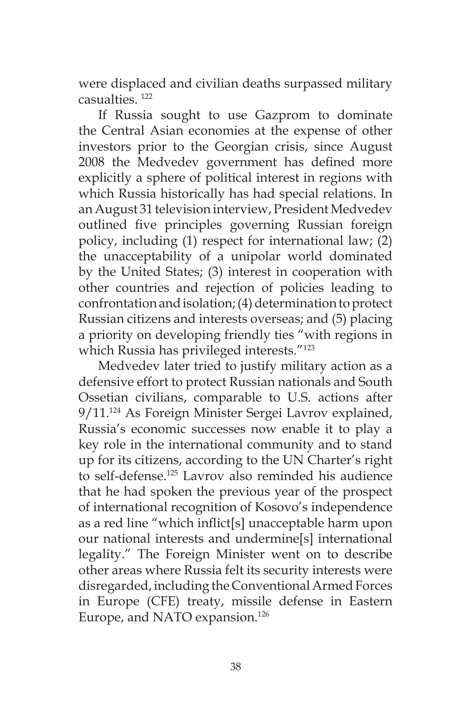were displaced and civilian deaths surpassed military casualties. 122

If Russia sought to use Gazprom to dominate the Central Asian economies at the expense of other investors prior to the Georgian crisis, since August 2008 the Medvedev government has defined more explicitly a sphere of political interest in regions with which Russia historically has had special relations. In an August 31 television interview, President Medvedev outlined five principles governing Russian foreign policy, including (1) respect for international law; (2) the unacceptability of a unipolar world dominated by the United States; (3) interest in cooperation with other countries and rejection of policies leading to confrontation and isolation; (4) determination to protect Russian citizens and interests overseas; and (5) placing a priority on developing friendly ties "with regions in which Russia has privileged interests."123

Medvedev later tried to justify military action as a defensive effort to protect Russian nationals and South Ossetian civilians, comparable to U.S. actions after 9/11.124 As Foreign Minister Sergei Lavrov explained, Russia's economic successes now enable it to play a key role in the international community and to stand up for its citizens, according to the UN Charter's right to self-defense.125 Lavrov also reminded his audience that he had spoken the previous year of the prospect of international recognition of Kosovo's independence as a red line "which inflict[s] unacceptable harm upon our national interests and undermine[s] international legality." The Foreign Minister went on to describe other areas where Russia felt its security interests were disregarded, including the Conventional Armed Forces in Europe (CFE) treaty, missile defense in Eastern Europe, and NATO expansion.<sup>126</sup>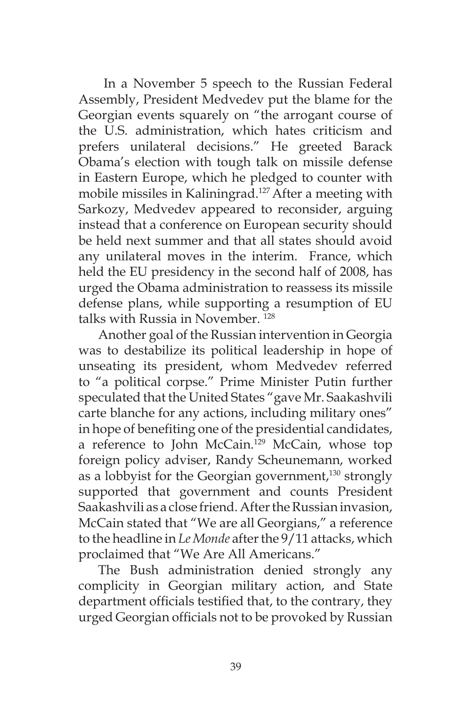In a November 5 speech to the Russian Federal Assembly, President Medvedev put the blame for the Georgian events squarely on "the arrogant course of the U.S. administration, which hates criticism and prefers unilateral decisions." He greeted Barack Obama's election with tough talk on missile defense in Eastern Europe, which he pledged to counter with mobile missiles in Kaliningrad.<sup>127</sup> After a meeting with Sarkozy, Medvedev appeared to reconsider, arguing instead that a conference on European security should be held next summer and that all states should avoid any unilateral moves in the interim. France, which held the EU presidency in the second half of 2008, has urged the Obama administration to reassess its missile defense plans, while supporting a resumption of EU talks with Russia in November. 128

Another goal of the Russian intervention in Georgia was to destabilize its political leadership in hope of unseating its president, whom Medvedev referred to "a political corpse." Prime Minister Putin further speculated that the United States "gave Mr. Saakashvili carte blanche for any actions, including military ones" in hope of benefiting one of the presidential candidates, a reference to John McCain.129 McCain, whose top foreign policy adviser, Randy Scheunemann, worked as a lobbyist for the Georgian government,<sup>130</sup> strongly supported that government and counts President Saakashvili as a close friend. After the Russian invasion, McCain stated that "We are all Georgians," a reference to the headline in *Le Monde* after the 9/11 attacks, which proclaimed that "We Are All Americans."

The Bush administration denied strongly any complicity in Georgian military action, and State department officials testified that, to the contrary, they urged Georgian officials not to be provoked by Russian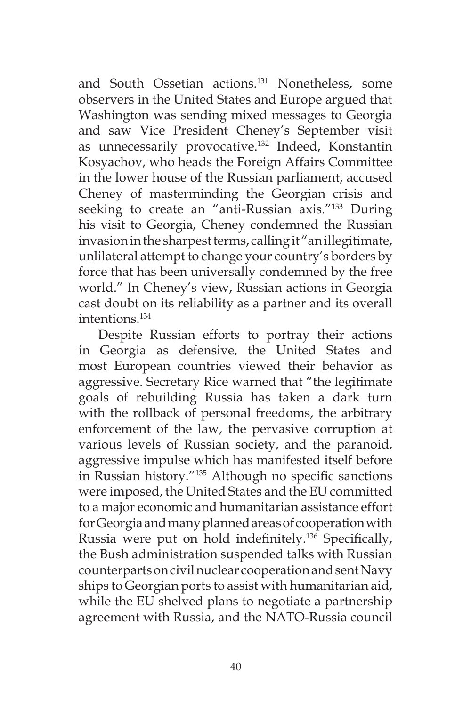and South Ossetian actions.131 Nonetheless, some observers in the United States and Europe argued that Washington was sending mixed messages to Georgia and saw Vice President Cheney's September visit as unnecessarily provocative.132 Indeed, Konstantin Kosyachov, who heads the Foreign Affairs Committee in the lower house of the Russian parliament, accused Cheney of masterminding the Georgian crisis and seeking to create an "anti-Russian axis."<sup>133</sup> During his visit to Georgia, Cheney condemned the Russian invasion in the sharpest terms, calling it "an illegitimate, unlilateral attempt to change your country's borders by force that has been universally condemned by the free world." In Cheney's view, Russian actions in Georgia cast doubt on its reliability as a partner and its overall intentions.134

Despite Russian efforts to portray their actions in Georgia as defensive, the United States and most European countries viewed their behavior as aggressive. Secretary Rice warned that "the legitimate goals of rebuilding Russia has taken a dark turn with the rollback of personal freedoms, the arbitrary enforcement of the law, the pervasive corruption at various levels of Russian society, and the paranoid, aggressive impulse which has manifested itself before in Russian history."135 Although no specific sanctions were imposed, the United States and the EU committed to a major economic and humanitarian assistance effort for Georgia and many planned areas of cooperation with Russia were put on hold indefinitely.<sup>136</sup> Specifically, the Bush administration suspended talks with Russian counterparts on civil nuclear cooperation and sent Navy ships to Georgian ports to assist with humanitarian aid, while the EU shelved plans to negotiate a partnership agreement with Russia, and the NATO-Russia council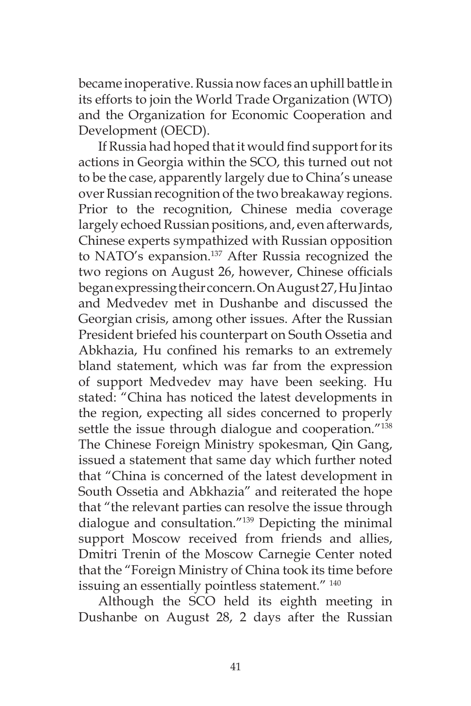became inoperative. Russia now faces an uphill battle in its efforts to join the World Trade Organization (WTO) and the Organization for Economic Cooperation and Development (OECD).

If Russia had hoped that it would find support for its actions in Georgia within the SCO, this turned out not to be the case, apparently largely due to China's unease over Russian recognition of the two breakaway regions. Prior to the recognition, Chinese media coverage largely echoed Russian positions, and, even afterwards, Chinese experts sympathized with Russian opposition to NATO's expansion.<sup>137</sup> After Russia recognized the two regions on August 26, however, Chinese officials began expressing their concern. On August 27, Hu Jintao and Medvedev met in Dushanbe and discussed the Georgian crisis, among other issues. After the Russian President briefed his counterpart on South Ossetia and Abkhazia, Hu confined his remarks to an extremely bland statement, which was far from the expression of support Medvedev may have been seeking. Hu stated: "China has noticed the latest developments in the region, expecting all sides concerned to properly settle the issue through dialogue and cooperation."<sup>138</sup> The Chinese Foreign Ministry spokesman, Qin Gang, issued a statement that same day which further noted that "China is concerned of the latest development in South Ossetia and Abkhazia" and reiterated the hope that "the relevant parties can resolve the issue through dialogue and consultation."139 Depicting the minimal support Moscow received from friends and allies, Dmitri Trenin of the Moscow Carnegie Center noted that the "Foreign Ministry of China took its time before issuing an essentially pointless statement."<sup>140</sup>

Although the SCO held its eighth meeting in Dushanbe on August 28, 2 days after the Russian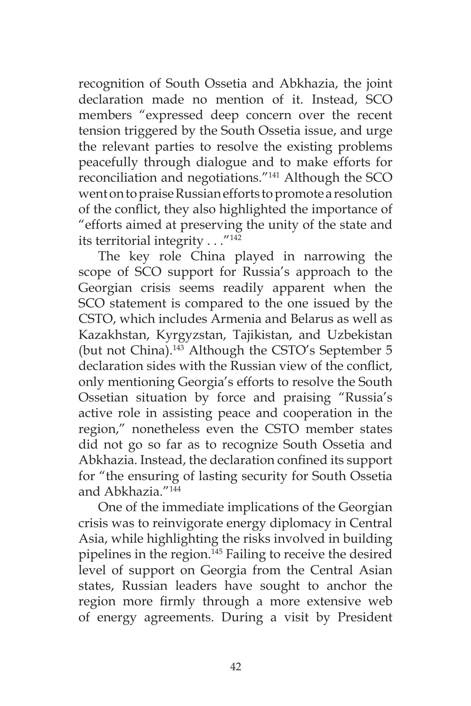recognition of South Ossetia and Abkhazia, the joint declaration made no mention of it. Instead, SCO members "expressed deep concern over the recent tension triggered by the South Ossetia issue, and urge the relevant parties to resolve the existing problems peacefully through dialogue and to make efforts for reconciliation and negotiations."141 Although the SCO went on to praise Russian efforts to promote a resolution of the conflict, they also highlighted the importance of "efforts aimed at preserving the unity of the state and its territorial integrity  $\dots$ ."<sup>142</sup>

The key role China played in narrowing the scope of SCO support for Russia's approach to the Georgian crisis seems readily apparent when the SCO statement is compared to the one issued by the CSTO, which includes Armenia and Belarus as well as Kazakhstan, Kyrgyzstan, Tajikistan, and Uzbekistan (but not China).<sup>143</sup> Although the CSTO's September 5 declaration sides with the Russian view of the conflict, only mentioning Georgia's efforts to resolve the South Ossetian situation by force and praising "Russia's active role in assisting peace and cooperation in the region," nonetheless even the CSTO member states did not go so far as to recognize South Ossetia and Abkhazia. Instead, the declaration confined its support for "the ensuring of lasting security for South Ossetia and Abkhazia."144

One of the immediate implications of the Georgian crisis was to reinvigorate energy diplomacy in Central Asia, while highlighting the risks involved in building pipelines in the region.<sup>145</sup> Failing to receive the desired level of support on Georgia from the Central Asian states, Russian leaders have sought to anchor the region more firmly through a more extensive web of energy agreements. During a visit by President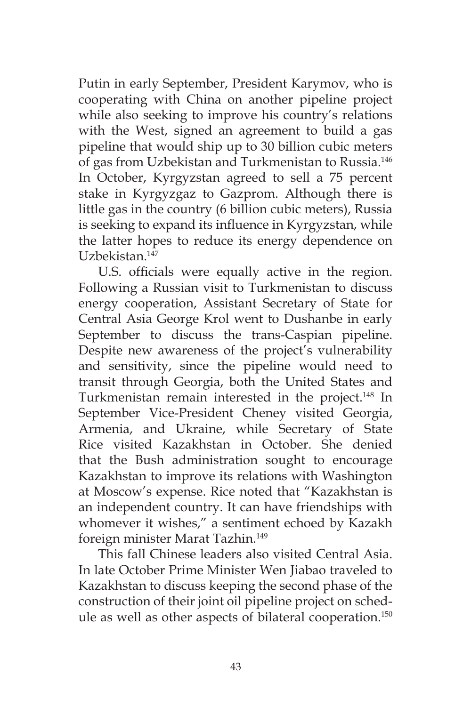Putin in early September, President Karymov, who is cooperating with China on another pipeline project while also seeking to improve his country's relations with the West, signed an agreement to build a gas pipeline that would ship up to 30 billion cubic meters of gas from Uzbekistan and Turkmenistan to Russia.146 In October, Kyrgyzstan agreed to sell a 75 percent stake in Kyrgyzgaz to Gazprom. Although there is little gas in the country (6 billion cubic meters), Russia is seeking to expand its influence in Kyrgyzstan, while the latter hopes to reduce its energy dependence on Uzbekistan.147

U.S. officials were equally active in the region. Following a Russian visit to Turkmenistan to discuss energy cooperation, Assistant Secretary of State for Central Asia George Krol went to Dushanbe in early September to discuss the trans-Caspian pipeline. Despite new awareness of the project's vulnerability and sensitivity, since the pipeline would need to transit through Georgia, both the United States and Turkmenistan remain interested in the project.<sup>148</sup> In September Vice-President Cheney visited Georgia, Armenia, and Ukraine, while Secretary of State Rice visited Kazakhstan in October. She denied that the Bush administration sought to encourage Kazakhstan to improve its relations with Washington at Moscow's expense. Rice noted that "Kazakhstan is an independent country. It can have friendships with whomever it wishes," a sentiment echoed by Kazakh foreign minister Marat Tazhin.149

This fall Chinese leaders also visited Central Asia. In late October Prime Minister Wen Jiabao traveled to Kazakhstan to discuss keeping the second phase of the construction of their joint oil pipeline project on schedule as well as other aspects of bilateral cooperation.150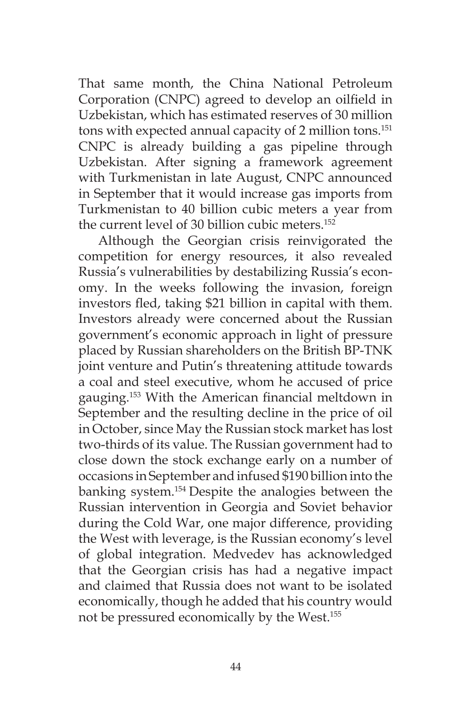That same month, the China National Petroleum Corporation (CNPC) agreed to develop an oilfield in Uzbekistan, which has estimated reserves of 30 million tons with expected annual capacity of 2 million tons.<sup>151</sup> CNPC is already building a gas pipeline through Uzbekistan. After signing a framework agreement with Turkmenistan in late August, CNPC announced in September that it would increase gas imports from Turkmenistan to 40 billion cubic meters a year from the current level of 30 billion cubic meters.<sup>152</sup>

Although the Georgian crisis reinvigorated the competition for energy resources, it also revealed Russia's vulnerabilities by destabilizing Russia's economy. In the weeks following the invasion, foreign investors fled, taking \$21 billion in capital with them. Investors already were concerned about the Russian government's economic approach in light of pressure placed by Russian shareholders on the British BP-TNK joint venture and Putin's threatening attitude towards a coal and steel executive, whom he accused of price gauging.153 With the American financial meltdown in September and the resulting decline in the price of oil in October, since May the Russian stock market has lost two-thirds of its value. The Russian government had to close down the stock exchange early on a number of occasions in September and infused \$190 billion into the banking system.154 Despite the analogies between the Russian intervention in Georgia and Soviet behavior during the Cold War, one major difference, providing the West with leverage, is the Russian economy's level of global integration. Medvedev has acknowledged that the Georgian crisis has had a negative impact and claimed that Russia does not want to be isolated economically, though he added that his country would not be pressured economically by the West.155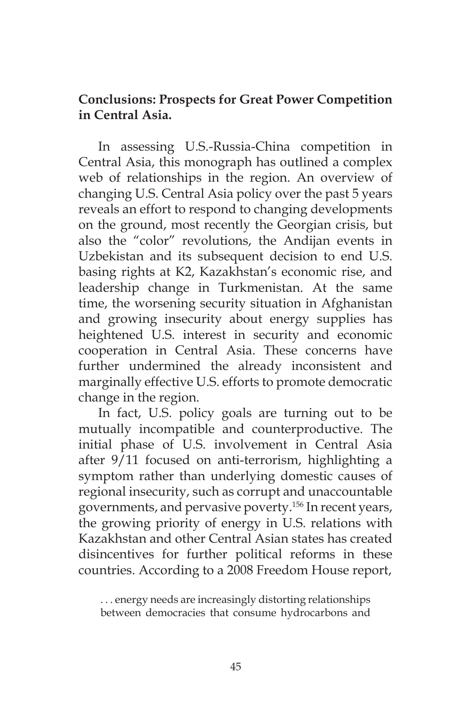## **Conclusions: Prospects for Great Power Competition in Central Asia.**

In assessing U.S.-Russia-China competition in Central Asia, this monograph has outlined a complex web of relationships in the region. An overview of changing U.S. Central Asia policy over the past 5 years reveals an effort to respond to changing developments on the ground, most recently the Georgian crisis, but also the "color" revolutions, the Andijan events in Uzbekistan and its subsequent decision to end U.S. basing rights at K2, Kazakhstan's economic rise, and leadership change in Turkmenistan. At the same time, the worsening security situation in Afghanistan and growing insecurity about energy supplies has heightened U.S. interest in security and economic cooperation in Central Asia. These concerns have further undermined the already inconsistent and marginally effective U.S. efforts to promote democratic change in the region.

In fact, U.S. policy goals are turning out to be mutually incompatible and counterproductive. The initial phase of U.S. involvement in Central Asia after 9/11 focused on anti-terrorism, highlighting a symptom rather than underlying domestic causes of regional insecurity, such as corrupt and unaccountable governments, and pervasive poverty.156 In recent years, the growing priority of energy in U.S. relations with Kazakhstan and other Central Asian states has created disincentives for further political reforms in these countries. According to a 2008 Freedom House report,

. . . energy needs are increasingly distorting relationships between democracies that consume hydrocarbons and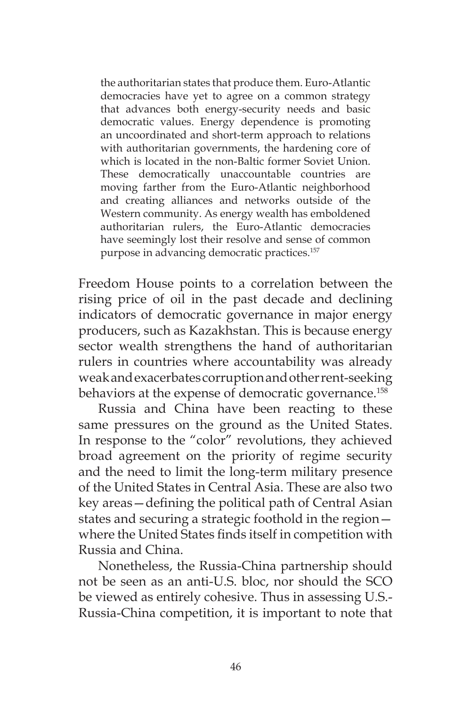the authoritarian states that produce them. Euro-Atlantic democracies have yet to agree on a common strategy that advances both energy-security needs and basic democratic values. Energy dependence is promoting an uncoordinated and short-term approach to relations with authoritarian governments, the hardening core of which is located in the non-Baltic former Soviet Union. These democratically unaccountable countries are moving farther from the Euro-Atlantic neighborhood and creating alliances and networks outside of the Western community. As energy wealth has emboldened authoritarian rulers, the Euro-Atlantic democracies have seemingly lost their resolve and sense of common purpose in advancing democratic practices.157

Freedom House points to a correlation between the rising price of oil in the past decade and declining indicators of democratic governance in major energy producers, such as Kazakhstan. This is because energy sector wealth strengthens the hand of authoritarian rulers in countries where accountability was already weak and exacerbates corruption and other rent-seeking behaviors at the expense of democratic governance.<sup>158</sup>

Russia and China have been reacting to these same pressures on the ground as the United States. In response to the "color" revolutions, they achieved broad agreement on the priority of regime security and the need to limit the long-term military presence of the United States in Central Asia. These are also two key areas—defining the political path of Central Asian states and securing a strategic foothold in the region where the United States finds itself in competition with Russia and China.

Nonetheless, the Russia-China partnership should not be seen as an anti-U.S. bloc, nor should the SCO be viewed as entirely cohesive. Thus in assessing U.S.- Russia-China competition, it is important to note that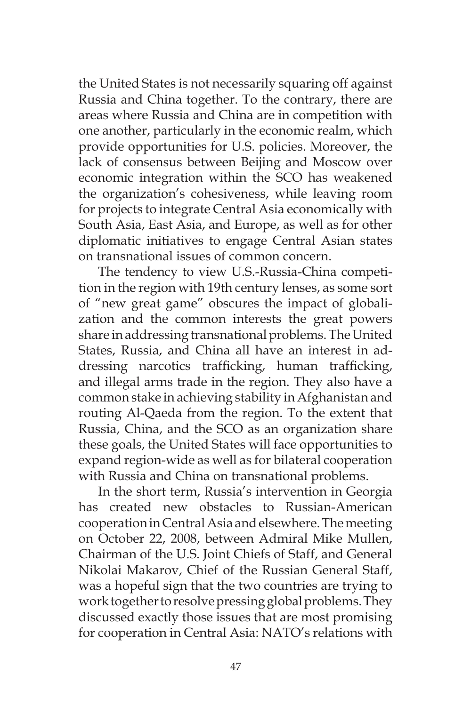the United States is not necessarily squaring off against Russia and China together. To the contrary, there are areas where Russia and China are in competition with one another, particularly in the economic realm, which provide opportunities for U.S. policies. Moreover, the lack of consensus between Beijing and Moscow over economic integration within the SCO has weakened the organization's cohesiveness, while leaving room for projects to integrate Central Asia economically with South Asia, East Asia, and Europe, as well as for other diplomatic initiatives to engage Central Asian states on transnational issues of common concern.

The tendency to view U.S.-Russia-China competition in the region with 19th century lenses, as some sort of "new great game" obscures the impact of globalization and the common interests the great powers share in addressing transnational problems. The United States, Russia, and China all have an interest in addressing narcotics trafficking, human trafficking, and illegal arms trade in the region. They also have a common stake in achieving stability in Afghanistan and routing Al-Qaeda from the region. To the extent that Russia, China, and the SCO as an organization share these goals, the United States will face opportunities to expand region-wide as well as for bilateral cooperation with Russia and China on transnational problems.

In the short term, Russia's intervention in Georgia has created new obstacles to Russian-American cooperation in Central Asia and elsewhere. The meeting on October 22, 2008, between Admiral Mike Mullen, Chairman of the U.S. Joint Chiefs of Staff, and General Nikolai Makarov, Chief of the Russian General Staff, was a hopeful sign that the two countries are trying to work together to resolve pressing global problems. They discussed exactly those issues that are most promising for cooperation in Central Asia: NATO's relations with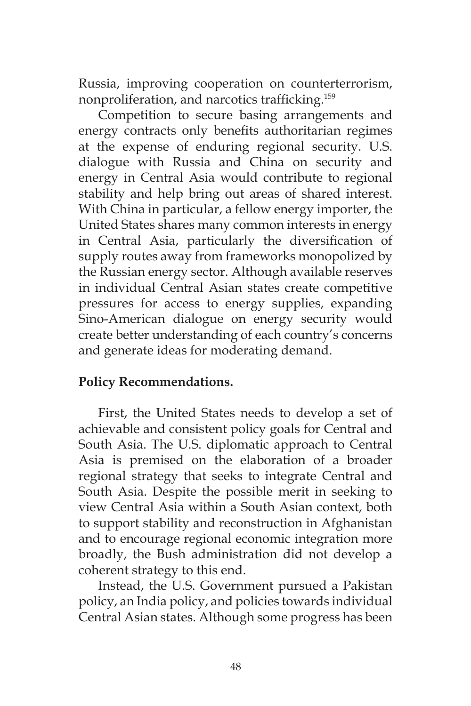Russia, improving cooperation on counterterrorism, nonproliferation, and narcotics trafficking.<sup>159</sup>

Competition to secure basing arrangements and energy contracts only benefits authoritarian regimes at the expense of enduring regional security. U.S. dialogue with Russia and China on security and energy in Central Asia would contribute to regional stability and help bring out areas of shared interest. With China in particular, a fellow energy importer, the United States shares many common interests in energy in Central Asia, particularly the diversification of supply routes away from frameworks monopolized by the Russian energy sector. Although available reserves in individual Central Asian states create competitive pressures for access to energy supplies, expanding Sino-American dialogue on energy security would create better understanding of each country's concerns and generate ideas for moderating demand.

## **Policy Recommendations.**

First, the United States needs to develop a set of achievable and consistent policy goals for Central and South Asia. The U.S. diplomatic approach to Central Asia is premised on the elaboration of a broader regional strategy that seeks to integrate Central and South Asia. Despite the possible merit in seeking to view Central Asia within a South Asian context, both to support stability and reconstruction in Afghanistan and to encourage regional economic integration more broadly, the Bush administration did not develop a coherent strategy to this end.

Instead, the U.S. Government pursued a Pakistan policy, an India policy, and policies towards individual Central Asian states. Although some progress has been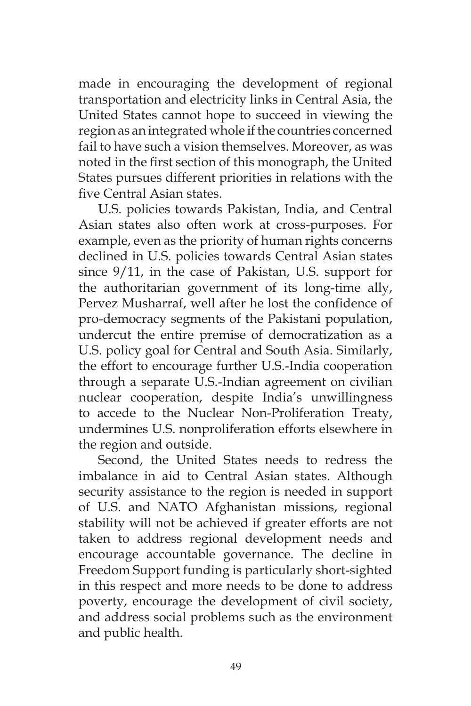made in encouraging the development of regional transportation and electricity links in Central Asia, the United States cannot hope to succeed in viewing the region as an integrated whole if the countries concerned fail to have such a vision themselves. Moreover, as was noted in the first section of this monograph, the United States pursues different priorities in relations with the five Central Asian states.

U.S. policies towards Pakistan, India, and Central Asian states also often work at cross-purposes. For example, even as the priority of human rights concerns declined in U.S. policies towards Central Asian states since 9/11, in the case of Pakistan, U.S. support for the authoritarian government of its long-time ally, Pervez Musharraf, well after he lost the confidence of pro-democracy segments of the Pakistani population, undercut the entire premise of democratization as a U.S. policy goal for Central and South Asia. Similarly, the effort to encourage further U.S.-India cooperation through a separate U.S.-Indian agreement on civilian nuclear cooperation, despite India's unwillingness to accede to the Nuclear Non-Proliferation Treaty, undermines U.S. nonproliferation efforts elsewhere in the region and outside.

Second, the United States needs to redress the imbalance in aid to Central Asian states. Although security assistance to the region is needed in support of U.S. and NATO Afghanistan missions, regional stability will not be achieved if greater efforts are not taken to address regional development needs and encourage accountable governance. The decline in Freedom Support funding is particularly short-sighted in this respect and more needs to be done to address poverty, encourage the development of civil society, and address social problems such as the environment and public health.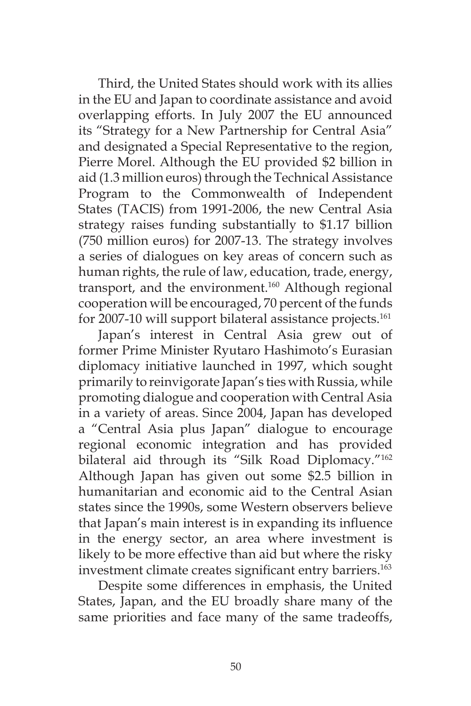Third, the United States should work with its allies in the EU and Japan to coordinate assistance and avoid overlapping efforts. In July 2007 the EU announced its "Strategy for a New Partnership for Central Asia" and designated a Special Representative to the region, Pierre Morel. Although the EU provided \$2 billion in aid (1.3 million euros) through the Technical Assistance Program to the Commonwealth of Independent States (TACIS) from 1991-2006, the new Central Asia strategy raises funding substantially to \$1.17 billion (750 million euros) for 2007-13. The strategy involves a series of dialogues on key areas of concern such as human rights, the rule of law, education, trade, energy, transport, and the environment.160 Although regional cooperation will be encouraged, 70 percent of the funds for 2007-10 will support bilateral assistance projects.<sup>161</sup>

Japan's interest in Central Asia grew out of former Prime Minister Ryutaro Hashimoto's Eurasian diplomacy initiative launched in 1997, which sought primarily to reinvigorate Japan's ties with Russia, while promoting dialogue and cooperation with Central Asia in a variety of areas. Since 2004, Japan has developed a "Central Asia plus Japan" dialogue to encourage regional economic integration and has provided bilateral aid through its "Silk Road Diplomacy."<sup>162</sup> Although Japan has given out some \$2.5 billion in humanitarian and economic aid to the Central Asian states since the 1990s, some Western observers believe that Japan's main interest is in expanding its influence in the energy sector, an area where investment is likely to be more effective than aid but where the risky investment climate creates significant entry barriers.<sup>163</sup>

Despite some differences in emphasis, the United States, Japan, and the EU broadly share many of the same priorities and face many of the same tradeoffs,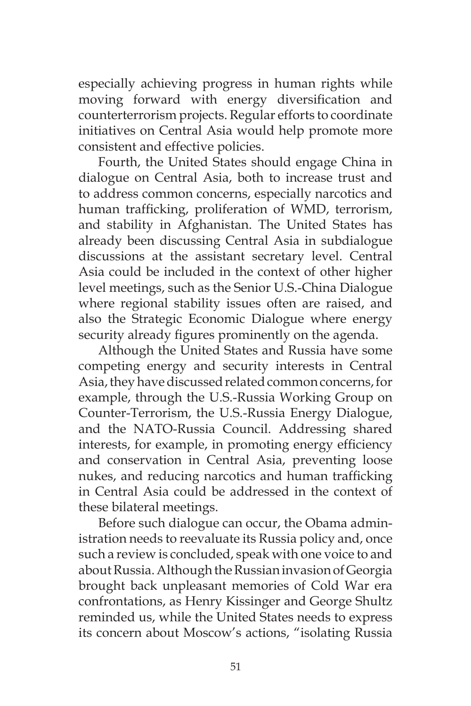especially achieving progress in human rights while moving forward with energy diversification and counterterrorism projects. Regular efforts to coordinate initiatives on Central Asia would help promote more consistent and effective policies.

Fourth, the United States should engage China in dialogue on Central Asia, both to increase trust and to address common concerns, especially narcotics and human trafficking, proliferation of WMD, terrorism, and stability in Afghanistan. The United States has already been discussing Central Asia in subdialogue discussions at the assistant secretary level. Central Asia could be included in the context of other higher level meetings, such as the Senior U.S.-China Dialogue where regional stability issues often are raised, and also the Strategic Economic Dialogue where energy security already figures prominently on the agenda.

Although the United States and Russia have some competing energy and security interests in Central Asia, they have discussed related common concerns, for example, through the U.S.-Russia Working Group on Counter-Terrorism, the U.S.-Russia Energy Dialogue, and the NATO-Russia Council. Addressing shared interests, for example, in promoting energy efficiency and conservation in Central Asia, preventing loose nukes, and reducing narcotics and human trafficking in Central Asia could be addressed in the context of these bilateral meetings.

Before such dialogue can occur, the Obama administration needs to reevaluate its Russia policy and, once such a review is concluded, speak with one voice to and about Russia. Although the Russian invasion of Georgia brought back unpleasant memories of Cold War era confrontations, as Henry Kissinger and George Shultz reminded us, while the United States needs to express its concern about Moscow's actions, "isolating Russia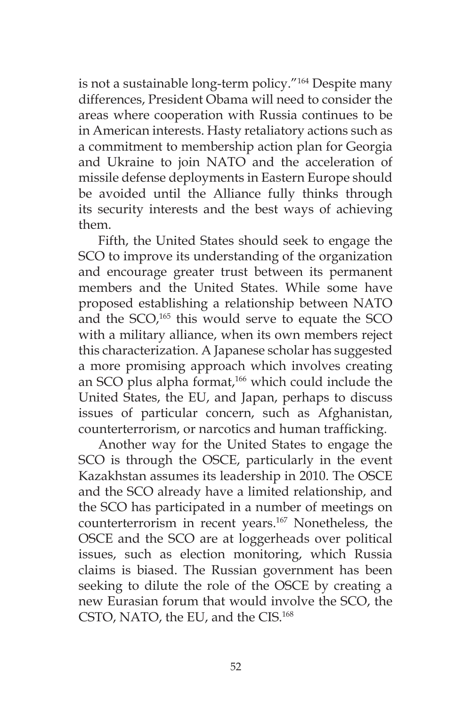is not a sustainable long-term policy."164 Despite many differences, President Obama will need to consider the areas where cooperation with Russia continues to be in American interests. Hasty retaliatory actions such as a commitment to membership action plan for Georgia and Ukraine to join NATO and the acceleration of missile defense deployments in Eastern Europe should be avoided until the Alliance fully thinks through its security interests and the best ways of achieving them.

Fifth, the United States should seek to engage the SCO to improve its understanding of the organization and encourage greater trust between its permanent members and the United States. While some have proposed establishing a relationship between NATO and the SCO,<sup>165</sup> this would serve to equate the SCO with a military alliance, when its own members reject this characterization. A Japanese scholar has suggested a more promising approach which involves creating an SCO plus alpha format,<sup>166</sup> which could include the United States, the EU, and Japan, perhaps to discuss issues of particular concern, such as Afghanistan, counterterrorism, or narcotics and human trafficking.

Another way for the United States to engage the SCO is through the OSCE, particularly in the event Kazakhstan assumes its leadership in 2010. The OSCE and the SCO already have a limited relationship, and the SCO has participated in a number of meetings on counterterrorism in recent years.167 Nonetheless, the OSCE and the SCO are at loggerheads over political issues, such as election monitoring, which Russia claims is biased. The Russian government has been seeking to dilute the role of the OSCE by creating a new Eurasian forum that would involve the SCO, the CSTO, NATO, the EU, and the CIS.168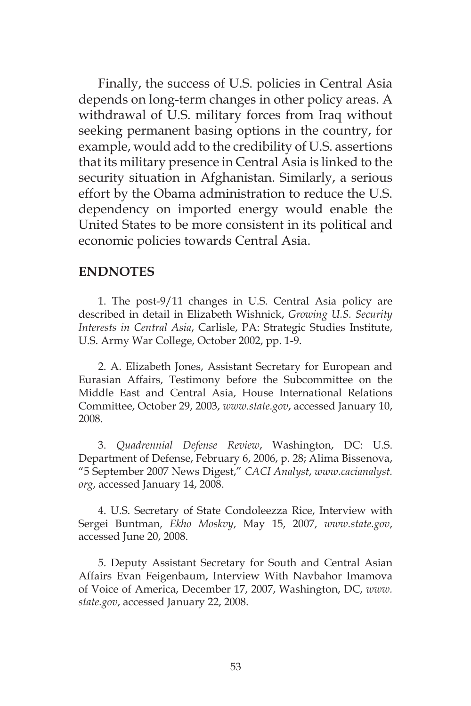Finally, the success of U.S. policies in Central Asia depends on long-term changes in other policy areas. A withdrawal of U.S. military forces from Iraq without seeking permanent basing options in the country, for example, would add to the credibility of U.S. assertions that its military presence in Central Asia is linked to the security situation in Afghanistan. Similarly, a serious effort by the Obama administration to reduce the U.S. dependency on imported energy would enable the United States to be more consistent in its political and economic policies towards Central Asia.

## **ENDNOTES**

1. The post-9/11 changes in U.S. Central Asia policy are described in detail in Elizabeth Wishnick, *Growing U.S. Security Interests in Central Asia*, Carlisle, PA: Strategic Studies Institute, U.S. Army War College, October 2002, pp. 1-9.

2. A. Elizabeth Jones, Assistant Secretary for European and Eurasian Affairs, Testimony before the Subcommittee on the Middle East and Central Asia, House International Relations Committee, October 29, 2003, *www.state.gov*, accessed January 10, 2008.

3. *Quadrennial Defense Review*, Washington, DC: U.S. Department of Defense, February 6, 2006, p. 28; Alima Bissenova, "5 September 2007 News Digest," *CACI Analyst*, *www.cacianalyst. org*, accessed January 14, 2008.

4. U.S. Secretary of State Condoleezza Rice, Interview with Sergei Buntman, *Ekho Moskvy*, May 15, 2007, *www.state.gov*, accessed June 20, 2008.

5. Deputy Assistant Secretary for South and Central Asian Affairs Evan Feigenbaum, Interview With Navbahor Imamova of Voice of America, December 17, 2007, Washington, DC, *www. state.gov*, accessed January 22, 2008.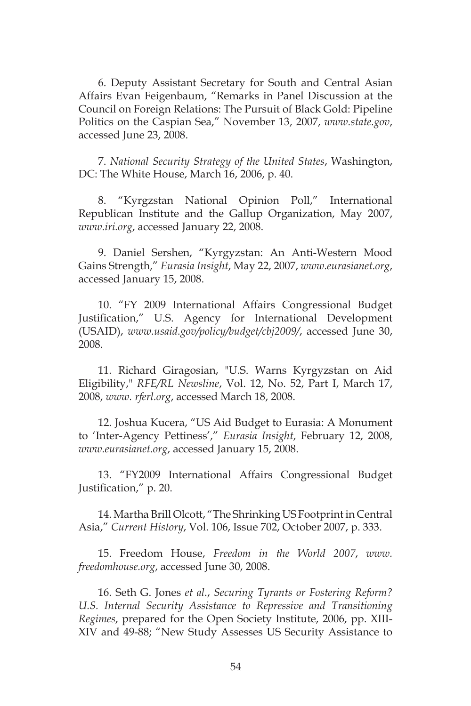6. Deputy Assistant Secretary for South and Central Asian Affairs Evan Feigenbaum, "Remarks in Panel Discussion at the Council on Foreign Relations: The Pursuit of Black Gold: Pipeline Politics on the Caspian Sea," November 13, 2007, *www.state.gov*, accessed June 23, 2008.

7. *National Security Strategy of the United States*, Washington, DC: The White House, March 16, 2006, p. 40.

8. "Kyrgzstan National Opinion Poll," International Republican Institute and the Gallup Organization, May 2007, *www.iri.org*, accessed January 22, 2008.

9. Daniel Sershen, "Kyrgyzstan: An Anti-Western Mood Gains Strength," *Eurasia Insight*, May 22, 2007, *www.eurasianet.org*, accessed January 15, 2008.

10. "FY 2009 International Affairs Congressional Budget Justification," U.S. Agency for International Development (USAID), *www.usaid.gov/policy/budget/cbj2009/*, accessed June 30, 2008.

11. Richard Giragosian, "U.S. Warns Kyrgyzstan on Aid Eligibility," *RFE/RL Newsline*, Vol. 12, No. 52, Part I, March 17, 2008, *www. rferl.org*, accessed March 18, 2008.

12. Joshua Kucera, "US Aid Budget to Eurasia: A Monument to 'Inter-Agency Pettiness'," *Eurasia Insight*, February 12, 2008, *www.eurasianet.org*, accessed January 15, 2008.

13. "FY2009 International Affairs Congressional Budget Justification," p. 20.

14. Martha Brill Olcott, "The Shrinking US Footprint in Central Asia," *Current History*, Vol. 106, Issue 702, October 2007, p. 333.

15. Freedom House, *Freedom in the World 2007*, *www. freedomhouse.org*, accessed June 30, 2008.

16. Seth G. Jones *et al*., *Securing Tyrants or Fostering Reform? U.S. Internal Security Assistance to Repressive and Transitioning Regimes*, prepared for the Open Society Institute, 2006, pp. XIII-XIV and 49-88; "New Study Assesses US Security Assistance to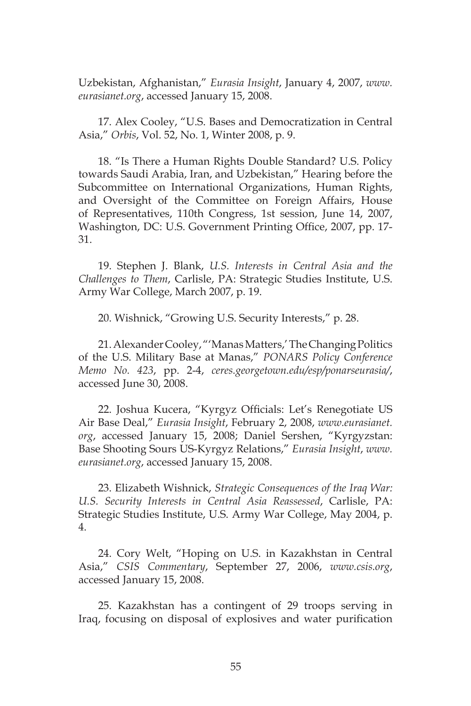Uzbekistan, Afghanistan," *Eurasia Insight*, January 4, 2007, *www. eurasianet.org*, accessed January 15, 2008.

17. Alex Cooley, "U.S. Bases and Democratization in Central Asia," *Orbis*, Vol. 52, No. 1, Winter 2008, p. 9.

18. "Is There a Human Rights Double Standard? U.S. Policy towards Saudi Arabia, Iran, and Uzbekistan," Hearing before the Subcommittee on International Organizations, Human Rights, and Oversight of the Committee on Foreign Affairs, House of Representatives, 110th Congress, 1st session, June 14, 2007, Washington, DC: U.S. Government Printing Office, 2007, pp. 17- 31.

19. Stephen J. Blank, *U.S. Interests in Central Asia and the Challenges to Them*, Carlisle, PA: Strategic Studies Institute, U.S. Army War College, March 2007, p. 19.

20. Wishnick, "Growing U.S. Security Interests," p. 28.

21. Alexander Cooley, "'Manas Matters,' The Changing Politics of the U.S. Military Base at Manas," *PONARS Policy Conference Memo No. 423*, pp. 2-4, *ceres.georgetown.edu/esp/ponarseurasia/*, accessed June 30, 2008.

22. Joshua Kucera, "Kyrgyz Officials: Let's Renegotiate US Air Base Deal," *Eurasia Insight*, February 2, 2008, *www.eurasianet. org*, accessed January 15, 2008; Daniel Sershen, "Kyrgyzstan: Base Shooting Sours US-Kyrgyz Relations," *Eurasia Insight*, *www. eurasianet.org*, accessed January 15, 2008.

23. Elizabeth Wishnick, *Strategic Consequences of the Iraq War: U.S. Security Interests in Central Asia Reassessed*, Carlisle, PA: Strategic Studies Institute, U.S. Army War College, May 2004, p. 4.

24. Cory Welt, "Hoping on U.S. in Kazakhstan in Central Asia," *CSIS Commentary*, September 27, 2006, *www.csis.org*, accessed January 15, 2008.

25. Kazakhstan has a contingent of 29 troops serving in Iraq, focusing on disposal of explosives and water purification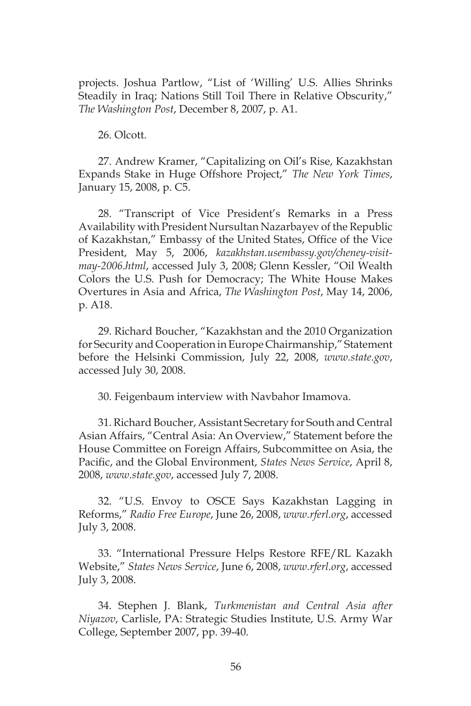projects. Joshua Partlow, "List of 'Willing' U.S. Allies Shrinks Steadily in Iraq; Nations Still Toil There in Relative Obscurity," *The Washington Post*, December 8, 2007, p. A1.

26. Olcott.

27. Andrew Kramer, "Capitalizing on Oil's Rise, Kazakhstan Expands Stake in Huge Offshore Project," *The New York Times*, January 15, 2008, p. C5.

28. "Transcript of Vice President's Remarks in a Press Availability with President Nursultan Nazarbayev of the Republic of Kazakhstan," Embassy of the United States, Office of the Vice President, May 5, 2006, *kazakhstan.usembassy.gov/cheney-visitmay-2006.html*, accessed July 3, 2008; Glenn Kessler, "Oil Wealth Colors the U.S. Push for Democracy; The White House Makes Overtures in Asia and Africa, *The Washington Post*, May 14, 2006, p. A18.

29. Richard Boucher, "Kazakhstan and the 2010 Organization for Security and Cooperation in Europe Chairmanship," Statement before the Helsinki Commission, July 22, 2008, *www.state.gov*, accessed July 30, 2008.

30. Feigenbaum interview with Navbahor Imamova.

31. Richard Boucher, Assistant Secretary for South and Central Asian Affairs, "Central Asia: An Overview," Statement before the House Committee on Foreign Affairs, Subcommittee on Asia, the Pacific, and the Global Environment, *States News Service*, April 8, 2008, *www.state.gov*, accessed July 7, 2008.

32. "U.S. Envoy to OSCE Says Kazakhstan Lagging in Reforms," *Radio Free Europe*, June 26, 2008, *www.rferl.org*, accessed July 3, 2008.

33. "International Pressure Helps Restore RFE/RL Kazakh Website," *States News Service*, June 6, 2008, *www.rferl.org*, accessed July 3, 2008.

34. Stephen J. Blank, *Turkmenistan and Central Asia after Niyazov*, Carlisle, PA: Strategic Studies Institute, U.S. Army War College, September 2007, pp. 39-40.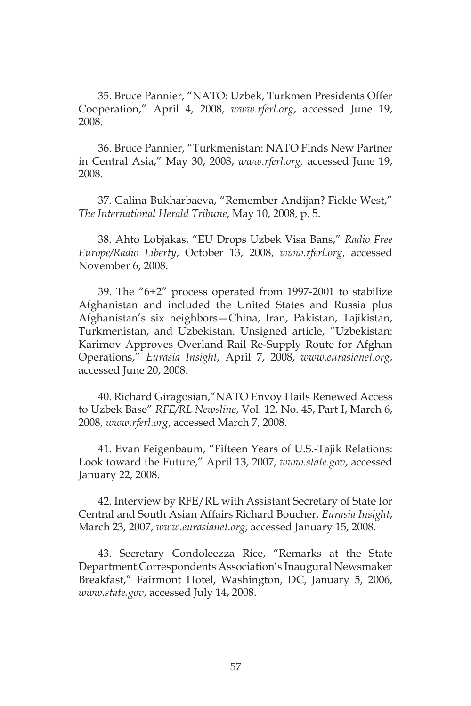35. Bruce Pannier, "NATO: Uzbek, Turkmen Presidents Offer Cooperation," April 4, 2008, *www.rferl.org*, accessed June 19, 2008.

36. Bruce Pannier, "Turkmenistan: NATO Finds New Partner in Central Asia," May 30, 2008, *www.rferl.org,* accessed June 19, 2008.

37. Galina Bukharbaeva, "Remember Andijan? Fickle West," *The International Herald Tribune*, May 10, 2008, p. 5.

38. Ahto Lobjakas, "EU Drops Uzbek Visa Bans," *Radio Free Europe/Radio Liberty*, October 13, 2008, *www.rferl.org*, accessed November 6, 2008.

39. The "6+2" process operated from 1997-2001 to stabilize Afghanistan and included the United States and Russia plus Afghanistan's six neighbors—China, Iran, Pakistan, Tajikistan, Turkmenistan, and Uzbekistan. Unsigned article, "Uzbekistan: Karimov Approves Overland Rail Re-Supply Route for Afghan Operations," *Eurasia Insight*, April 7, 2008, *www.eurasianet.org*, accessed June 20, 2008.

40. Richard Giragosian,"NATO Envoy Hails Renewed Access to Uzbek Base" *RFE/RL Newsline*, Vol. 12, No. 45, Part I, March 6, 2008, *www.rferl.org*, accessed March 7, 2008.

41. Evan Feigenbaum, "Fifteen Years of U.S.-Tajik Relations: Look toward the Future," April 13, 2007, *www.state.gov*, accessed January 22, 2008.

42. Interview by RFE/RL with Assistant Secretary of State for Central and South Asian Affairs Richard Boucher, *Eurasia Insight*, March 23, 2007, *www.eurasianet.org*, accessed January 15, 2008.

43. Secretary Condoleezza Rice, "Remarks at the State Department Correspondents Association's Inaugural Newsmaker Breakfast," Fairmont Hotel, Washington, DC, January 5, 2006, *www.state.gov*, accessed July 14, 2008.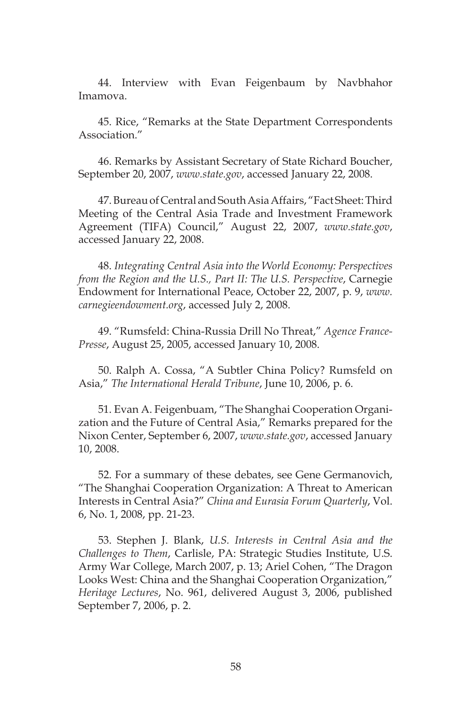44. Interview with Evan Feigenbaum by Navbhahor Imamova.

45. Rice, "Remarks at the State Department Correspondents Association."

46. Remarks by Assistant Secretary of State Richard Boucher, September 20, 2007, *www.state.gov*, accessed January 22, 2008.

47. Bureau of Central and South Asia Affairs, "Fact Sheet: Third Meeting of the Central Asia Trade and Investment Framework Agreement (TIFA) Council," August 22, 2007, *www.state.gov*, accessed January 22, 2008.

48. *Integrating Central Asia into the World Economy: Perspectives from the Region and the U.S., Part II: The U.S. Perspective*, Carnegie Endowment for International Peace, October 22, 2007, p. 9, *www. carnegieendowment.org*, accessed July 2, 2008.

49. "Rumsfeld: China-Russia Drill No Threat," *Agence France-Presse*, August 25, 2005, accessed January 10, 2008.

50. Ralph A. Cossa, "A Subtler China Policy? Rumsfeld on Asia," *The International Herald Tribune*, June 10, 2006, p. 6.

51. Evan A. Feigenbuam, "The Shanghai Cooperation Organization and the Future of Central Asia," Remarks prepared for the Nixon Center, September 6, 2007, *www.state.gov*, accessed January 10, 2008.

52. For a summary of these debates, see Gene Germanovich, "The Shanghai Cooperation Organization: A Threat to American Interests in Central Asia?" *China and Eurasia Forum Quarterly*, Vol. 6, No. 1, 2008, pp. 21-23.

53. Stephen J. Blank, *U.S. Interests in Central Asia and the Challenges to Them*, Carlisle, PA: Strategic Studies Institute, U.S. Army War College, March 2007, p. 13; Ariel Cohen, "The Dragon Looks West: China and the Shanghai Cooperation Organization," *Heritage Lectures*, No. 961, delivered August 3, 2006, published September 7, 2006, p. 2.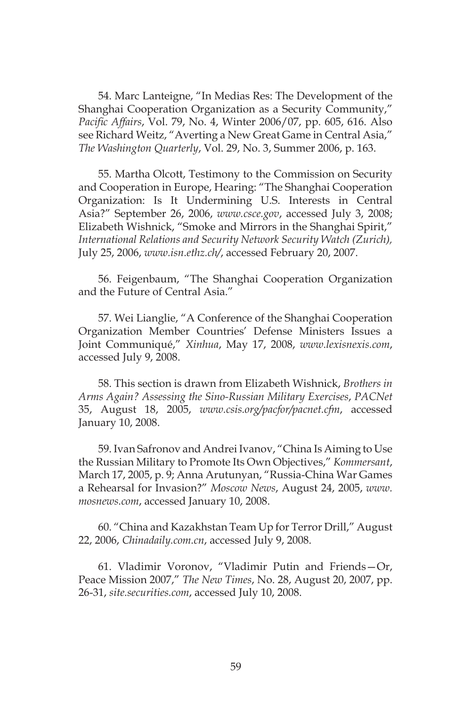54. Marc Lanteigne, "In Medias Res: The Development of the Shanghai Cooperation Organization as a Security Community," *Pacific Affairs*, Vol. 79, No. 4, Winter 2006/07, pp. 605, 616. Also see Richard Weitz, "Averting a New Great Game in Central Asia," *The Washington Quarterly*, Vol. 29, No. 3, Summer 2006, p. 163.

55. Martha Olcott, Testimony to the Commission on Security and Cooperation in Europe, Hearing: "The Shanghai Cooperation Organization: Is It Undermining U.S. Interests in Central Asia?" September 26, 2006, *www.csce.gov*, accessed July 3, 2008; Elizabeth Wishnick, "Smoke and Mirrors in the Shanghai Spirit," *International Relations and Security Network Security Watch (Zurich),*  July 25, 2006, *www.isn.ethz.ch/*, accessed February 20, 2007.

56. Feigenbaum, "The Shanghai Cooperation Organization and the Future of Central Asia."

57. Wei Lianglie, "A Conference of the Shanghai Cooperation Organization Member Countries' Defense Ministers Issues a Joint Communiqué," *Xinhua*, May 17, 2008, *www.lexisnexis.com*, accessed July 9, 2008.

58. This section is drawn from Elizabeth Wishnick, *Brothers in Arms Again? Assessing the Sino-Russian Military Exercises*, *PACNet* 35, August 18, 2005, *www.csis.org/pacfor/pacnet.cfm*, accessed January 10, 2008.

59. Ivan Safronov and Andrei Ivanov, "China Is Aiming to Use the Russian Military to Promote Its Own Objectives," *Kommersant*, March 17, 2005, p. 9; Anna Arutunyan, "Russia-China War Games a Rehearsal for Invasion?" *Moscow News*, August 24, 2005, *www. mosnews.com*, accessed January 10, 2008.

60. "China and Kazakhstan Team Up for Terror Drill," August 22, 2006, *Chinadaily.com.cn*, accessed July 9, 2008.

61. Vladimir Voronov, "Vladimir Putin and Friends—Or, Peace Mission 2007," *The New Times*, No. 28, August 20, 2007, pp. 26-31, *site.securities.com*, accessed July 10, 2008.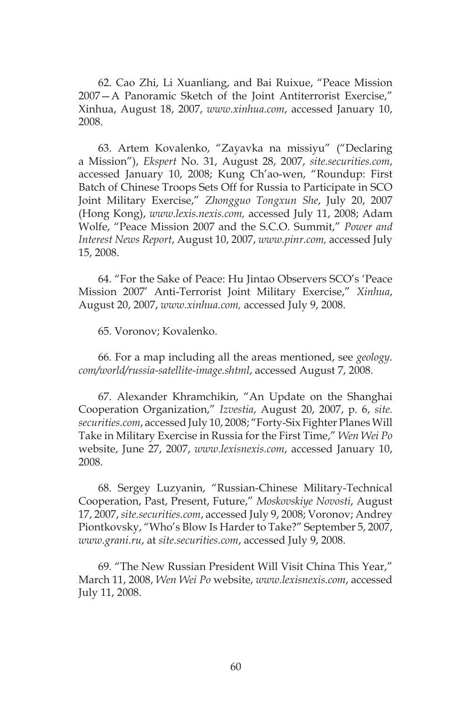62. Cao Zhi, Li Xuanliang, and Bai Ruixue, "Peace Mission 2007—A Panoramic Sketch of the Joint Antiterrorist Exercise," Xinhua, August 18, 2007, *www.xinhua.com*, accessed January 10, 2008.

63. Artem Kovalenko, "Zayavka na missiyu" ("Declaring a Mission"), *Ekspert* No. 31, August 28, 2007, *site.securities.com*, accessed January 10, 2008; Kung Ch'ao-wen, "Roundup: First Batch of Chinese Troops Sets Off for Russia to Participate in SCO Joint Military Exercise," *Zhongguo Tongxun She*, July 20, 2007 (Hong Kong), *www.lexis.nexis.com,* accessed July 11, 2008; Adam Wolfe, "Peace Mission 2007 and the S.C.O. Summit," *Power and Interest News Report*, August 10, 2007, *www.pinr.com,* accessed July 15, 2008.

64. "For the Sake of Peace: Hu Jintao Observers SCO's 'Peace Mission 2007' Anti-Terrorist Joint Military Exercise," *Xinhua*, August 20, 2007, *www.xinhua.com,* accessed July 9, 2008.

65. Voronov; Kovalenko.

66. For a map including all the areas mentioned, see *geology. com/world/russia-satellite-image.shtml*, accessed August 7, 2008.

67. Alexander Khramchikin, "An Update on the Shanghai Cooperation Organization," *Izvestia*, August 20, 2007, p. 6, *site. securities.com*, accessed July 10, 2008; "Forty-Six Fighter Planes Will Take in Military Exercise in Russia for the First Time," *Wen Wei Po* website, June 27, 2007, *www.lexisnexis.com*, accessed January 10, 2008.

68. Sergey Luzyanin, "Russian-Chinese Military-Technical Cooperation, Past, Present, Future," *Moskovskiye Novosti*, August 17, 2007, *site.securities.com*, accessed July 9, 2008; Voronov; Andrey Piontkovsky, "Who's Blow Is Harder to Take?" September 5, 2007, *www.grani.ru*, at *site.securities.com*, accessed July 9, 2008.

69. "The New Russian President Will Visit China This Year," March 11, 2008, *Wen Wei Po* website, *www.lexisnexis.com*, accessed July 11, 2008.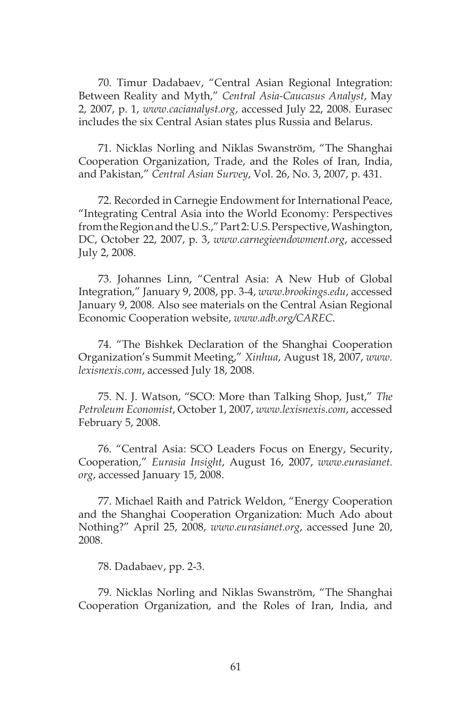70. Timur Dadabaev, "Central Asian Regional Integration: Between Reality and Myth," *Central Asia-Caucasus Analyst*, May 2, 2007, p. 1, *www.cacianalyst.org*, accessed July 22, 2008. Eurasec includes the six Central Asian states plus Russia and Belarus.

71. Nicklas Norling and Niklas Swanström, "The Shanghai Cooperation Organization, Trade, and the Roles of Iran, India, and Pakistan," *Central Asian Survey*, Vol. 26, No. 3, 2007, p. 431.

72. Recorded in Carnegie Endowment for International Peace, "Integrating Central Asia into the World Economy: Perspectives from the Region and the U.S.," Part 2: U.S. Perspective, Washington, DC, October 22, 2007, p. 3, *www.carnegieendowment.org*, accessed July 2, 2008.

73. Johannes Linn, "Central Asia: A New Hub of Global Integration," January 9, 2008, pp. 3-4, *www.brookings.edu*, accessed January 9, 2008. Also see materials on the Central Asian Regional Economic Cooperation website, *www.adb.org/CAREC*.

74. "The Bishkek Declaration of the Shanghai Cooperation Organization's Summit Meeting," *Xinhua*, August 18, 2007, *www. lexisnexis.com*, accessed July 18, 2008.

75. N. J. Watson, "SCO: More than Talking Shop, Just," *The Petroleum Economist*, October 1, 2007, *www.lexisnexis.com*, accessed February 5, 2008.

76. "Central Asia: SCO Leaders Focus on Energy, Security, Cooperation," *Eurasia Insight*, August 16, 2007, *www.eurasianet. org*, accessed January 15, 2008.

77. Michael Raith and Patrick Weldon, "Energy Cooperation and the Shanghai Cooperation Organization: Much Ado about Nothing?" April 25, 2008, *www.eurasianet.org*, accessed June 20, 2008.

78. Dadabaev, pp. 2-3.

79. Nicklas Norling and Niklas Swanström, "The Shanghai Cooperation Organization, and the Roles of Iran, India, and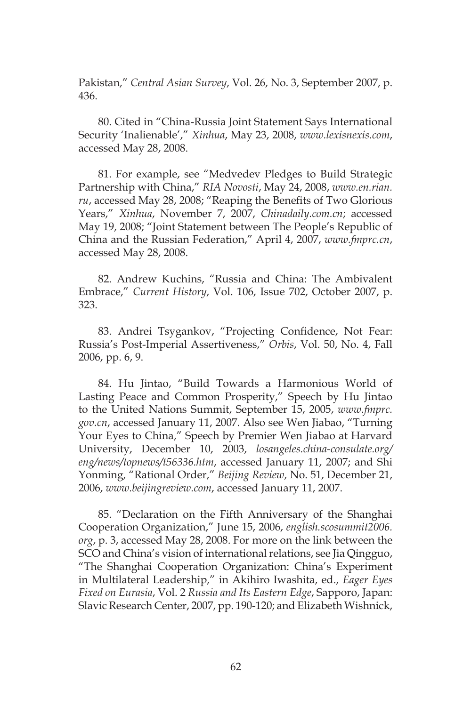Pakistan," *Central Asian Survey*, Vol. 26, No. 3, September 2007, p. 436.

80. Cited in "China-Russia Joint Statement Says International Security 'Inalienable'," *Xinhua*, May 23, 2008, *www.lexisnexis.com*, accessed May 28, 2008.

81. For example, see "Medvedev Pledges to Build Strategic Partnership with China," *RIA Novosti*, May 24, 2008, *www.en.rian. ru*, accessed May 28, 2008; "Reaping the Benefits of Two Glorious Years," *Xinhua*, November 7, 2007, *Chinadaily.com.cn*; accessed May 19, 2008; "Joint Statement between The People's Republic of China and the Russian Federation," April 4, 2007, *www.fmprc.cn*, accessed May 28, 2008.

82. Andrew Kuchins, "Russia and China: The Ambivalent Embrace," *Current History*, Vol. 106, Issue 702, October 2007, p. 323.

83. Andrei Tsygankov, "Projecting Confidence, Not Fear: Russia's Post-Imperial Assertiveness," *Orbis*, Vol. 50, No. 4, Fall 2006, pp. 6, 9.

84. Hu Jintao, "Build Towards a Harmonious World of Lasting Peace and Common Prosperity," Speech by Hu Jintao to the United Nations Summit, September 15, 2005, *www.fmprc. gov.cn*, accessed January 11, 2007. Also see Wen Jiabao, "Turning Your Eyes to China," Speech by Premier Wen Jiabao at Harvard University, December 10, 2003, *losangeles.china-consulate.org/ eng/news/topnews/t56336.htm*, accessed January 11, 2007; and Shi Yonming, "Rational Order," *Beijing Review*, No. 51, December 21, 2006, *www.beijingreview.com*, accessed January 11, 2007.

85. "Declaration on the Fifth Anniversary of the Shanghai Cooperation Organization," June 15, 2006, *english.scosummit2006. org*, p. 3, accessed May 28, 2008. For more on the link between the SCO and China's vision of international relations, see Jia Qingguo, "The Shanghai Cooperation Organization: China's Experiment in Multilateral Leadership," in Akihiro Iwashita, ed., *Eager Eyes Fixed on Eurasia*, Vol. 2 *Russia and Its Eastern Edge*, Sapporo, Japan: Slavic Research Center, 2007, pp. 190-120; and Elizabeth Wishnick,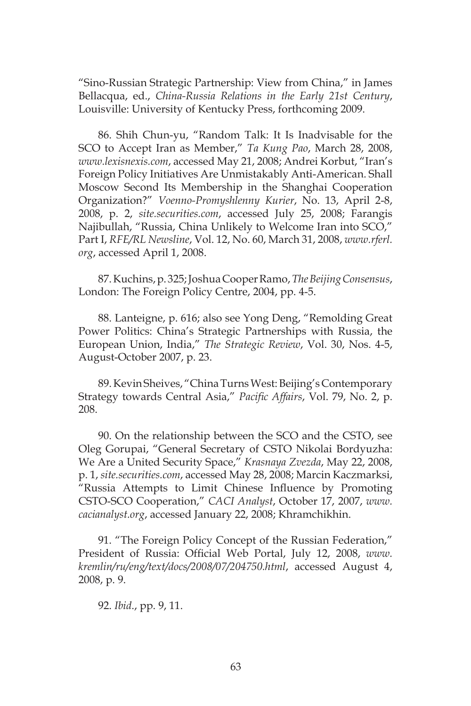"Sino-Russian Strategic Partnership: View from China," in James Bellacqua, ed., *China-Russia Relations in the Early 21st Century*, Louisville: University of Kentucky Press, forthcoming 2009.

86. Shih Chun-yu, "Random Talk: It Is Inadvisable for the SCO to Accept Iran as Member," *Ta Kung Pao*, March 28, 2008, *www.lexisnexis.com*, accessed May 21, 2008; Andrei Korbut, "Iran's Foreign Policy Initiatives Are Unmistakably Anti-American. Shall Moscow Second Its Membership in the Shanghai Cooperation Organization?" *Voenno-Promyshlenny Kurier*, No. 13, April 2-8, 2008, p. 2, *site.securities.com*, accessed July 25, 2008; Farangis Najibullah, "Russia, China Unlikely to Welcome Iran into SCO," Part I, *RFE/RL Newsline*, Vol. 12, No. 60, March 31, 2008, *www.rferl. org*, accessed April 1, 2008.

87. Kuchins, p. 325; Joshua Cooper Ramo, *The Beijing Consensus*, London: The Foreign Policy Centre, 2004, pp. 4-5.

88. Lanteigne, p. 616; also see Yong Deng, "Remolding Great Power Politics: China's Strategic Partnerships with Russia, the European Union, India," *The Strategic Review*, Vol. 30, Nos. 4-5, August-October 2007, p. 23.

89. Kevin Sheives, "China Turns West: Beijing's Contemporary Strategy towards Central Asia," *Pacific Affairs*, Vol. 79, No. 2, p. 208.

90. On the relationship between the SCO and the CSTO, see Oleg Gorupai, "General Secretary of CSTO Nikolai Bordyuzha: We Are a United Security Space," *Krasnaya Zvezda*, May 22, 2008, p. 1, *site.securities.com*, accessed May 28, 2008; Marcin Kaczmarksi, "Russia Attempts to Limit Chinese Influence by Promoting CSTO-SCO Cooperation," *CACI Analyst*, October 17, 2007, *www. cacianalyst.org*, accessed January 22, 2008; Khramchikhin.

91. "The Foreign Policy Concept of the Russian Federation," President of Russia: Official Web Portal, July 12, 2008, *www. kremlin/ru/eng/text/docs/2008/07/204750.html*, accessed August 4, 2008, p. 9.

92. *Ibid*., pp. 9, 11.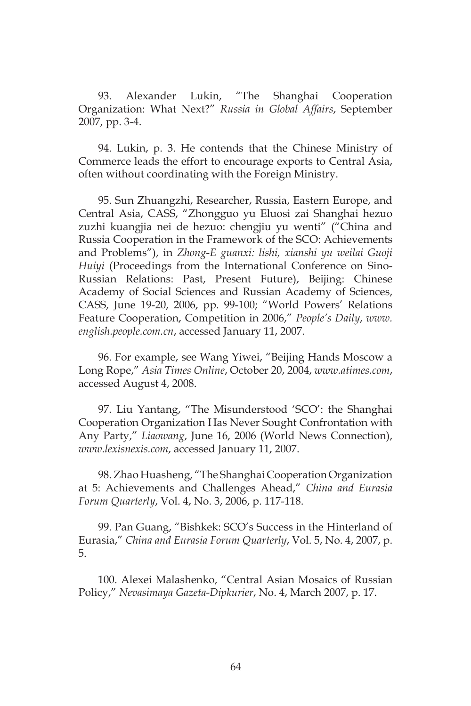93. Alexander Lukin, "The Shanghai Cooperation Organization: What Next?" *Russia in Global Affairs*, September 2007, pp. 3-4.

94. Lukin, p. 3. He contends that the Chinese Ministry of Commerce leads the effort to encourage exports to Central Asia, often without coordinating with the Foreign Ministry.

95. Sun Zhuangzhi, Researcher, Russia, Eastern Europe, and Central Asia, CASS, "Zhongguo yu Eluosi zai Shanghai hezuo zuzhi kuangjia nei de hezuo: chengjiu yu wenti" ("China and Russia Cooperation in the Framework of the SCO: Achievements and Problems"), in *Zhong-E guanxi: lishi, xianshi yu weilai Guoji Huiyi* (Proceedings from the International Conference on Sino-Russian Relations: Past, Present Future), Beijing: Chinese Academy of Social Sciences and Russian Academy of Sciences, CASS, June 19-20, 2006, pp. 99-100; "World Powers' Relations Feature Cooperation, Competition in 2006," *People's Daily*, *www. english.people.com.cn*, accessed January 11, 2007.

96. For example, see Wang Yiwei, "Beijing Hands Moscow a Long Rope," *Asia Times Online*, October 20, 2004, *www.atimes.com*, accessed August 4, 2008.

97. Liu Yantang, "The Misunderstood 'SCO': the Shanghai Cooperation Organization Has Never Sought Confrontation with Any Party," *Liaowang*, June 16, 2006 (World News Connection), *www.lexisnexis.com*, accessed January 11, 2007.

98. Zhao Huasheng, "The Shanghai Cooperation Organization at 5: Achievements and Challenges Ahead," *China and Eurasia Forum Quarterly*, Vol. 4, No. 3, 2006, p. 117-118.

99. Pan Guang, "Bishkek: SCO's Success in the Hinterland of Eurasia," *China and Eurasia Forum Quarterly*, Vol. 5, No. 4, 2007, p. 5.

100. Alexei Malashenko, "Central Asian Mosaics of Russian Policy," *Nevasimaya Gazeta-Dipkurier*, No. 4, March 2007, p. 17.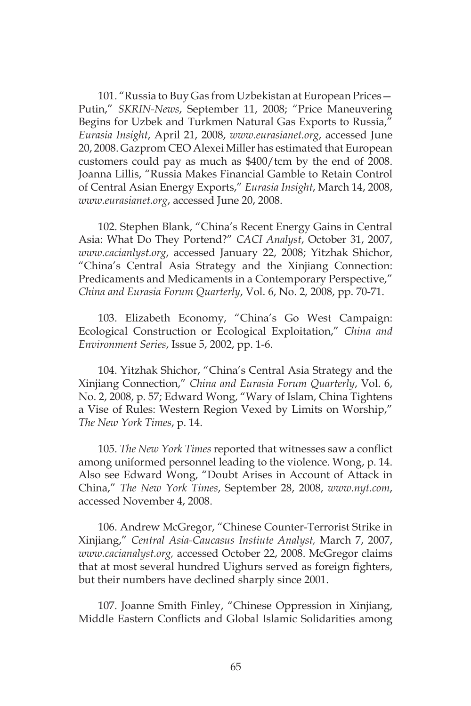101. "Russia to Buy Gas from Uzbekistan at European Prices— Putin," *SKRIN-News*, September 11, 2008; "Price Maneuvering Begins for Uzbek and Turkmen Natural Gas Exports to Russia," *Eurasia Insight*, April 21, 2008, *www.eurasianet.org*, accessed June 20, 2008. Gazprom CEO Alexei Miller has estimated that European customers could pay as much as \$400/tcm by the end of 2008. Joanna Lillis, "Russia Makes Financial Gamble to Retain Control of Central Asian Energy Exports," *Eurasia Insight*, March 14, 2008, *www.eurasianet.org*, accessed June 20, 2008.

102. Stephen Blank, "China's Recent Energy Gains in Central Asia: What Do They Portend?" *CACI Analyst*, October 31, 2007, *www.cacianlyst.org*, accessed January 22, 2008; Yitzhak Shichor, "China's Central Asia Strategy and the Xinjiang Connection: Predicaments and Medicaments in a Contemporary Perspective," *China and Eurasia Forum Quarterly*, Vol. 6, No. 2, 2008, pp. 70-71.

103. Elizabeth Economy, "China's Go West Campaign: Ecological Construction or Ecological Exploitation," *China and Environment Series*, Issue 5, 2002, pp. 1-6.

104. Yitzhak Shichor, "China's Central Asia Strategy and the Xinjiang Connection," *China and Eurasia Forum Quarterly*, Vol. 6, No. 2, 2008, p. 57; Edward Wong, "Wary of Islam, China Tightens a Vise of Rules: Western Region Vexed by Limits on Worship," *The New York Times*, p. 14.

105. *The New York Times* reported that witnesses saw a conflict among uniformed personnel leading to the violence. Wong, p. 14. Also see Edward Wong, "Doubt Arises in Account of Attack in China," *The New York Times*, September 28, 2008, *www.nyt.com*, accessed November 4, 2008.

106. Andrew McGregor, "Chinese Counter-Terrorist Strike in Xinjiang," *Central Asia-Caucasus Instiute Analyst,* March 7, 2007, *www.cacianalyst.org,* accessed October 22, 2008. McGregor claims that at most several hundred Uighurs served as foreign fighters, but their numbers have declined sharply since 2001.

107. Joanne Smith Finley, "Chinese Oppression in Xinjiang, Middle Eastern Conflicts and Global Islamic Solidarities among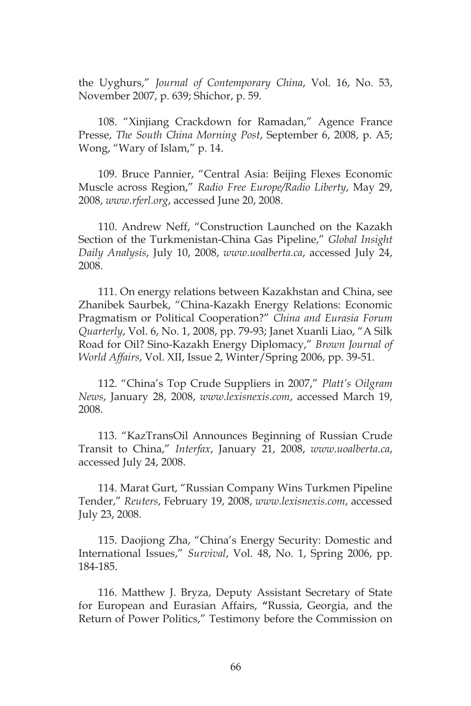the Uyghurs," *Journal of Contemporary China*, Vol. 16, No. 53, November 2007, p. 639; Shichor, p. 59.

108. "Xinjiang Crackdown for Ramadan," Agence France Presse, *The South China Morning Post*, September 6, 2008, p. A5; Wong, "Wary of Islam," p. 14.

109. Bruce Pannier, "Central Asia: Beijing Flexes Economic Muscle across Region," *Radio Free Europe/Radio Liberty*, May 29, 2008, *www.rferl.org*, accessed June 20, 2008.

110. Andrew Neff, "Construction Launched on the Kazakh Section of the Turkmenistan-China Gas Pipeline," *Global Insight Daily Analysis*, July 10, 2008, *www.uoalberta.ca*, accessed July 24, 2008.

111. On energy relations between Kazakhstan and China, see Zhanibek Saurbek, "China-Kazakh Energy Relations: Economic Pragmatism or Political Cooperation?" *China and Eurasia Forum Quarterly*, Vol. 6, No. 1, 2008, pp. 79-93; Janet Xuanli Liao, "A Silk Road for Oil? Sino-Kazakh Energy Diplomacy," *Brown Journal of World Affairs*, Vol. XII, Issue 2, Winter/Spring 2006, pp. 39-51.

112. "China's Top Crude Suppliers in 2007," *Platt's Oilgram News*, January 28, 2008, *www.lexisnexis.com*, accessed March 19, 2008.

113. "KazTransOil Announces Beginning of Russian Crude Transit to China," *Interfax*, January 21, 2008, *www.uoalberta.ca*, accessed July 24, 2008.

114. Marat Gurt, "Russian Company Wins Turkmen Pipeline Tender," *Reuters*, February 19, 2008, *www.lexisnexis.com*, accessed July 23, 2008.

115. Daojiong Zha, "China's Energy Security: Domestic and International Issues," *Survival*, Vol. 48, No. 1, Spring 2006, pp. 184-185.

116. Matthew J. Bryza, Deputy Assistant Secretary of State for European and Eurasian Affairs, **"**Russia, Georgia, and the Return of Power Politics," Testimony before the Commission on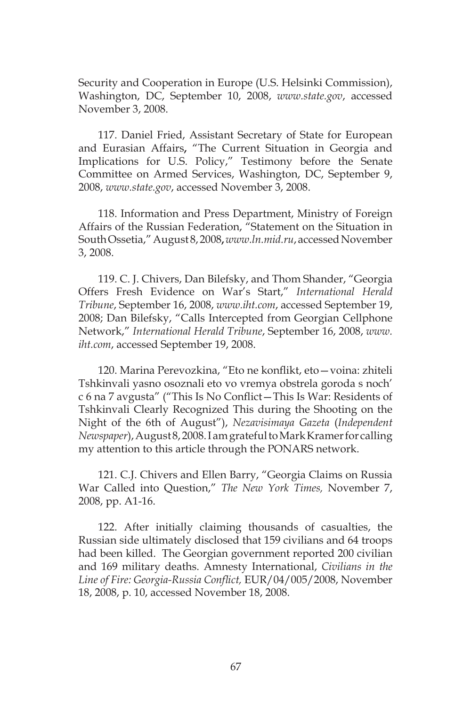Security and Cooperation in Europe (U.S. Helsinki Commission), Washington, DC, September 10, 2008, *www.state.gov*, accessed November 3, 2008.

117. Daniel Fried, Assistant Secretary of State for European and Eurasian Affairs**,** "The Current Situation in Georgia and Implications for U.S. Policy," Testimony before the Senate Committee on Armed Services, Washington, DC, September 9, 2008, *www.state.gov*, accessed November 3, 2008.

118. Information and Press Department, Ministry of Foreign Affairs of the Russian Federation, "Statement on the Situation in South Ossetia," August 8, 2008**,** *www.ln.mid.ru*, accessed November 3, 2008.

119. C. J. Chivers, Dan Bilefsky, and Thom Shander, "Georgia Offers Fresh Evidence on War's Start," *International Herald Tribune*, September 16, 2008, *www.iht.com*, accessed September 19, 2008; Dan Bilefsky, "Calls Intercepted from Georgian Cellphone Network," *International Herald Tribune*, September 16, 2008, *www. iht.com*, accessed September 19, 2008.

120. Marina Perevozkina, "Eto ne konflikt, eto—voina: zhiteli Tshkinvali yasno osoznali eto vo vremya obstrela goroda s noch' c 6 na 7 avgusta" ("This Is No Conflict—This Is War: Residents of Tshkinvali Clearly Recognized This during the Shooting on the Night of the 6th of August"), *Nezavisimaya Gazeta* (*Independent Newspaper*), August 8, 2008. I am grateful to Mark Kramer for calling my attention to this article through the PONARS network.

121. C.J. Chivers and Ellen Barry, "Georgia Claims on Russia War Called into Question," *The New York Times,* November 7, 2008, pp. A1-16.

122. After initially claiming thousands of casualties, the Russian side ultimately disclosed that 159 civilians and 64 troops had been killed. The Georgian government reported 200 civilian and 169 military deaths. Amnesty International, *Civilians in the Line of Fire: Georgia-Russia Conflict,* EUR/04/005/2008, November 18, 2008, p. 10, accessed November 18, 2008.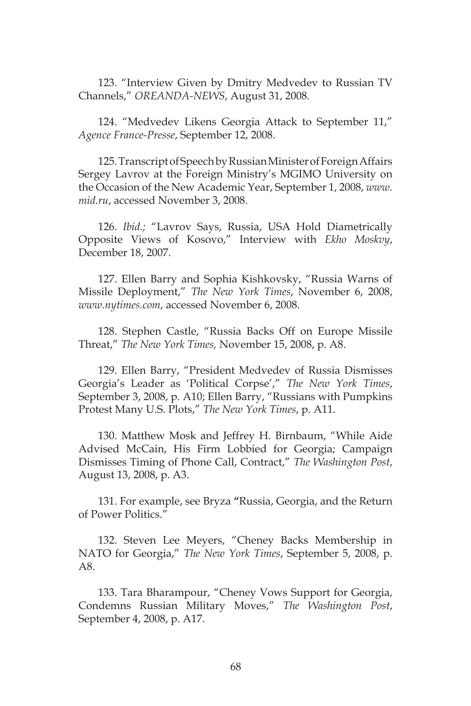123. "Interview Given by Dmitry Medvedev to Russian TV Channels," *OREANDA-NEWS*, August 31, 2008.

124. "Medvedev Likens Georgia Attack to September 11," *Agence France-Presse*, September 12, 2008.

125. Transcript of Speech by Russian Minister of Foreign Affairs Sergey Lavrov at the Foreign Ministry's MGIMO University on the Occasion of the New Academic Year, September 1, 2008, *www. mid.ru*, accessed November 3, 2008.

126. *Ibid.;* "Lavrov Says, Russia, USA Hold Diametrically Opposite Views of Kosovo," Interview with *Ekho Moskvy*, December 18, 2007.

127. Ellen Barry and Sophia Kishkovsky, "Russia Warns of Missile Deployment," *The New York Times*, November 6, 2008, *www.nytimes.com*, accessed November 6, 2008.

128. Stephen Castle, "Russia Backs Off on Europe Missile Threat," *The New York Times,* November 15, 2008, p. A8.

129. Ellen Barry, "President Medvedev of Russia Dismisses Georgia's Leader as 'Political Corpse'," *The New York Times*, September 3, 2008, p. A10; Ellen Barry, "Russians with Pumpkins Protest Many U.S. Plots," *The New York Times*, p. A11.

130. Matthew Mosk and Jeffrey H. Birnbaum, "While Aide Advised McCain, His Firm Lobbied for Georgia; Campaign Dismisses Timing of Phone Call, Contract," *The Washington Post*, August 13, 2008, p. A3.

131. For example, see Bryza **"**Russia, Georgia, and the Return of Power Politics."

132. Steven Lee Meyers, "Cheney Backs Membership in NATO for Georgia," *The New York Times*, September 5, 2008, p. A8.

133. Tara Bharampour, "Cheney Vows Support for Georgia, Condemns Russian Military Moves," *The Washington Post*, September 4, 2008, p. A17.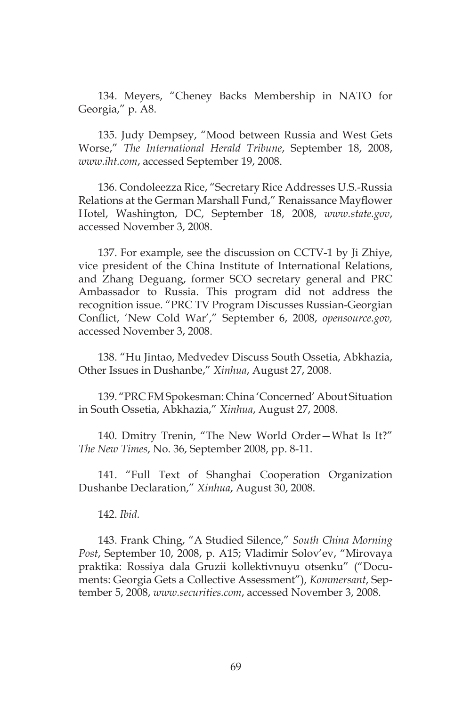134. Meyers, "Cheney Backs Membership in NATO for Georgia," p. A8.

135. Judy Dempsey, "Mood between Russia and West Gets Worse," *The International Herald Tribune*, September 18, 2008, *www.iht.com*, accessed September 19, 2008.

136. Condoleezza Rice, "Secretary Rice Addresses U.S.-Russia Relations at the German Marshall Fund," Renaissance Mayflower Hotel, Washington, DC, September 18, 2008, *www.state.gov*, accessed November 3, 2008.

137. For example, see the discussion on CCTV-1 by Ji Zhiye, vice president of the China Institute of International Relations, and Zhang Deguang, former SCO secretary general and PRC Ambassador to Russia. This program did not address the recognition issue. "PRC TV Program Discusses Russian-Georgian Conflict, 'New Cold War'," September 6, 2008, *opensource.gov,*  accessed November 3, 2008.

138. "Hu Jintao, Medvedev Discuss South Ossetia, Abkhazia, Other Issues in Dushanbe," *Xinhua*, August 27, 2008.

139. "PRC FM Spokesman: China 'Concerned' About Situation in South Ossetia, Abkhazia," *Xinhua*, August 27, 2008.

140. Dmitry Trenin, "The New World Order—What Is It?" *The New Times*, No. 36, September 2008, pp. 8-11.

141. "Full Text of Shanghai Cooperation Organization Dushanbe Declaration," *Xinhua*, August 30, 2008.

142. *Ibid.*

143. Frank Ching, "A Studied Silence," *South China Morning Post*, September 10, 2008, p. A15; Vladimir Solov'ev, "Mirovaya praktika: Rossiya dala Gruzii kollektivnuyu otsenku" ("Documents: Georgia Gets a Collective Assessment"), *Kommersant*, September 5, 2008, *www.securities.com*, accessed November 3, 2008.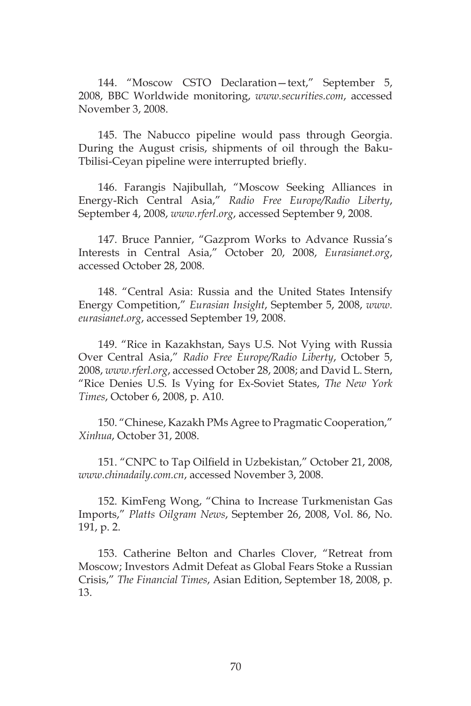144. "Moscow CSTO Declaration—text," September 5, 2008, BBC Worldwide monitoring, *www.securities.com*, accessed November 3, 2008.

145. The Nabucco pipeline would pass through Georgia. During the August crisis, shipments of oil through the Baku-Tbilisi-Ceyan pipeline were interrupted briefly.

146. Farangis Najibullah, "Moscow Seeking Alliances in Energy-Rich Central Asia," *Radio Free Europe/Radio Liberty*, September 4, 2008, *www.rferl.org*, accessed September 9, 2008.

147. Bruce Pannier, "Gazprom Works to Advance Russia's Interests in Central Asia," October 20, 2008, *Eurasianet.org*, accessed October 28, 2008*.*

148. "Central Asia: Russia and the United States Intensify Energy Competition," *Eurasian Insight*, September 5, 2008, *www. eurasianet.org*, accessed September 19, 2008.

149. "Rice in Kazakhstan, Says U.S. Not Vying with Russia Over Central Asia," *Radio Free Europe/Radio Liberty*, October 5, 2008, *www.rferl.org*, accessed October 28, 2008; and David L. Stern, "Rice Denies U.S. Is Vying for Ex-Soviet States, *The New York Times*, October 6, 2008, p. A10.

150. "Chinese, Kazakh PMs Agree to Pragmatic Cooperation," *Xinhua*, October 31, 2008.

151. "CNPC to Tap Oilfield in Uzbekistan," October 21, 2008, *www.chinadaily.com.cn*, accessed November 3, 2008.

152. KimFeng Wong, "China to Increase Turkmenistan Gas Imports," *Platts Oilgram News*, September 26, 2008, Vol. 86, No. 191, p. 2.

153. Catherine Belton and Charles Clover, "Retreat from Moscow; Investors Admit Defeat as Global Fears Stoke a Russian Crisis," *The Financial Times*, Asian Edition, September 18, 2008, p. 13.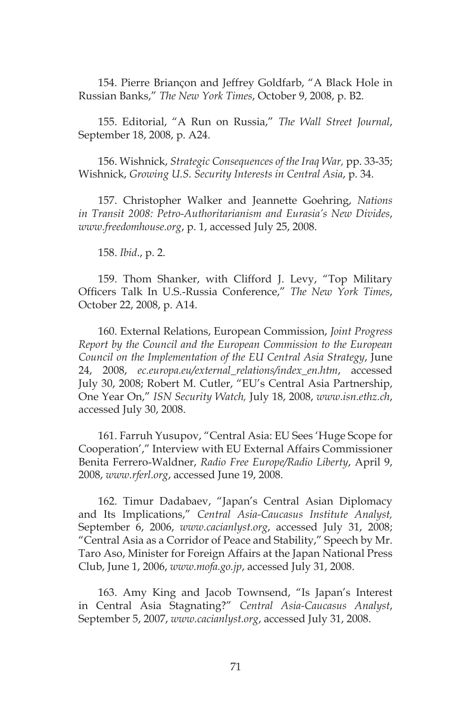154. Pierre Briançon and Jeffrey Goldfarb, "A Black Hole in Russian Banks," *The New York Times*, October 9, 2008, p. B2.

155. Editorial, "A Run on Russia," *The Wall Street Journal*, September 18, 2008, p. A24.

156. Wishnick, *Strategic Consequences of the Iraq War,* pp. 33-35; Wishnick, *Growing U.S. Security Interests in Central Asia*, p. 34.

157. Christopher Walker and Jeannette Goehring, *Nations in Transit 2008: Petro-Authoritarianism and Eurasia's New Divides*, *www.freedomhouse.org*, p. 1, accessed July 25, 2008.

158. *Ibid*., p. 2.

159. Thom Shanker, with Clifford J. Levy, "Top Military Officers Talk In U.S.-Russia Conference," *The New York Times*, October 22, 2008, p. A14.

160. External Relations, European Commission, *Joint Progress Report by the Council and the European Commission to the European Council on the Implementation of the EU Central Asia Strategy*, June 24, 2008, *ec.europa.eu/external\_relations/index\_en.htm*, accessed July 30, 2008; Robert M. Cutler, "EU's Central Asia Partnership, One Year On," *ISN Security Watch,* July 18, 2008, *www.isn.ethz.ch*, accessed July 30, 2008.

161. Farruh Yusupov, "Central Asia: EU Sees 'Huge Scope for Cooperation'," Interview with EU External Affairs Commissioner Benita Ferrero-Waldner, *Radio Free Europe/Radio Liberty*, April 9, 2008, *www.rferl.org*, accessed June 19, 2008.

162. Timur Dadabaev, "Japan's Central Asian Diplomacy and Its Implications," *Central Asia-Caucasus Institute Analyst,* September 6, 2006, *www.cacianlyst.org*, accessed July 31, 2008; "Central Asia as a Corridor of Peace and Stability," Speech by Mr. Taro Aso, Minister for Foreign Affairs at the Japan National Press Club, June 1, 2006, *www.mofa.go.jp*, accessed July 31, 2008.

163. Amy King and Jacob Townsend, "Is Japan's Interest in Central Asia Stagnating?" *Central Asia-Caucasus Analyst*, September 5, 2007, *www.cacianlyst.org*, accessed July 31, 2008.